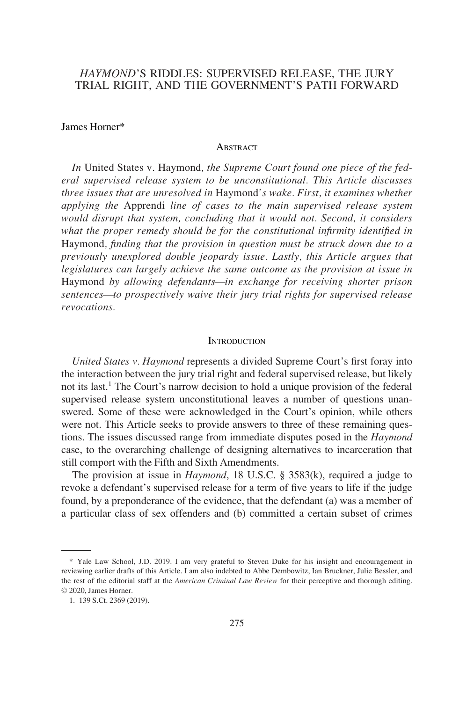# *HAYMOND*'S RIDDLES: SUPERVISED RELEASE, THE JURY TRIAL RIGHT, AND THE GOVERNMENT'S PATH FORWARD

#### James Horner\*

#### **ABSTRACT**

*In* United States v. Haymond*, the Supreme Court found one piece of the federal supervised release system to be unconstitutional. This Article discusses three issues that are unresolved in* Haymond*'s wake. First, it examines whether applying the* Apprendi *line of cases to the main supervised release system would disrupt that system, concluding that it would not. Second, it considers what the proper remedy should be for the constitutional infrmity identifed in*  Haymond*, fnding that the provision in question must be struck down due to a previously unexplored double jeopardy issue. Lastly, this Article argues that legislatures can largely achieve the same outcome as the provision at issue in*  Haymond *by allowing defendants—in exchange for receiving shorter prison sentences—to prospectively waive their jury trial rights for supervised release revocations.* 

#### **INTRODUCTION**

*United States v. Haymond represents a divided Supreme Court's first foray into* the interaction between the jury trial right and federal supervised release, but likely not its last.<sup>1</sup> The Court's narrow decision to hold a unique provision of the federal supervised release system unconstitutional leaves a number of questions unanswered. Some of these were acknowledged in the Court's opinion, while others were not. This Article seeks to provide answers to three of these remaining questions. The issues discussed range from immediate disputes posed in the *Haymond*  case, to the overarching challenge of designing alternatives to incarceration that still comport with the Fifth and Sixth Amendments.

The provision at issue in *Haymond*, 18 U.S.C. § 3583(k), required a judge to revoke a defendant's supervised release for a term of five years to life if the judge found, by a preponderance of the evidence, that the defendant (a) was a member of a particular class of sex offenders and (b) committed a certain subset of crimes

<sup>\*</sup> Yale Law School, J.D. 2019. I am very grateful to Steven Duke for his insight and encouragement in reviewing earlier drafts of this Article. I am also indebted to Abbe Dembowitz, Ian Bruckner, Julie Bessler, and the rest of the editorial staff at the *American Criminal Law Review* for their perceptive and thorough editing. © 2020, James Horner.

<sup>1. 139</sup> S.Ct. 2369 (2019).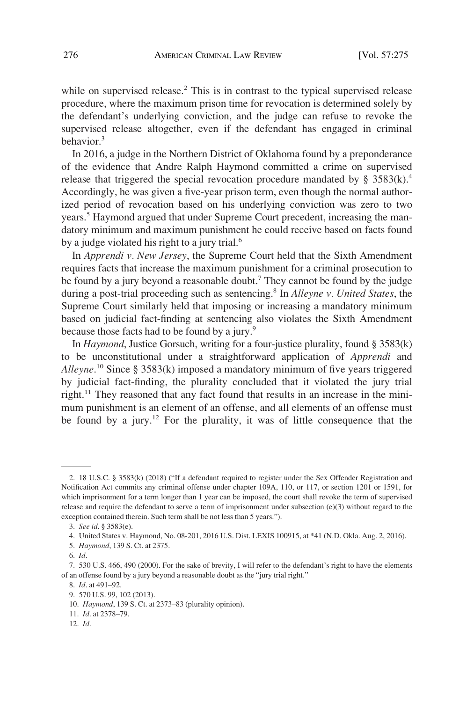while on supervised release.<sup>2</sup> This is in contrast to the typical supervised release procedure, where the maximum prison time for revocation is determined solely by the defendant's underlying conviction, and the judge can refuse to revoke the supervised release altogether, even if the defendant has engaged in criminal behavior.<sup>3</sup>

In 2016, a judge in the Northern District of Oklahoma found by a preponderance of the evidence that Andre Ralph Haymond committed a crime on supervised release that triggered the special revocation procedure mandated by §  $3583(k)$ .<sup>4</sup> Accordingly, he was given a fve-year prison term, even though the normal authorized period of revocation based on his underlying conviction was zero to two years.<sup>5</sup> Haymond argued that under Supreme Court precedent, increasing the mandatory minimum and maximum punishment he could receive based on facts found by a judge violated his right to a jury trial.<sup>6</sup>

In *Apprendi v. New Jersey*, the Supreme Court held that the Sixth Amendment requires facts that increase the maximum punishment for a criminal prosecution to be found by a jury beyond a reasonable doubt.<sup>7</sup> They cannot be found by the judge during a post-trial proceeding such as sentencing.8 In *Alleyne v. United States*, the Supreme Court similarly held that imposing or increasing a mandatory minimum based on judicial fact-fnding at sentencing also violates the Sixth Amendment because those facts had to be found by a jury.<sup>9</sup>

In *Haymond*, Justice Gorsuch, writing for a four-justice plurality, found § 3583(k) to be unconstitutional under a straightforward application of *Apprendi* and Alleyne.<sup>10</sup> Since § 3583(k) imposed a mandatory minimum of five years triggered by judicial fact-fnding, the plurality concluded that it violated the jury trial right.11 They reasoned that any fact found that results in an increase in the minimum punishment is an element of an offense, and all elements of an offense must be found by a jury.<sup>12</sup> For the plurality, it was of little consequence that the

6. *Id*.

<sup>2. 18</sup> U.S.C. § 3583(k) (2018) ("If a defendant required to register under the Sex Offender Registration and Notifcation Act commits any criminal offense under chapter 109A, 110, or 117, or section 1201 or 1591, for which imprisonment for a term longer than 1 year can be imposed, the court shall revoke the term of supervised release and require the defendant to serve a term of imprisonment under subsection (e)(3) without regard to the exception contained therein. Such term shall be not less than 5 years.").

<sup>3.</sup> *See id*. § 3583(e).

<sup>4.</sup> United States v. Haymond, No. 08-201, 2016 U.S. Dist. LEXIS 100915, at \*41 (N.D. Okla. Aug. 2, 2016).

<sup>5.</sup> *Haymond*, 139 S. Ct. at 2375.

<sup>7. 530</sup> U.S. 466, 490 (2000). For the sake of brevity, I will refer to the defendant's right to have the elements of an offense found by a jury beyond a reasonable doubt as the "jury trial right."

<sup>8.</sup> *Id*. at 491–92.

<sup>9. 570</sup> U.S. 99, 102 (2013).

<sup>10.</sup> *Haymond*, 139 S. Ct. at 2373–83 (plurality opinion).

<sup>11.</sup> *Id*. at 2378–79.

<sup>12.</sup> *Id*.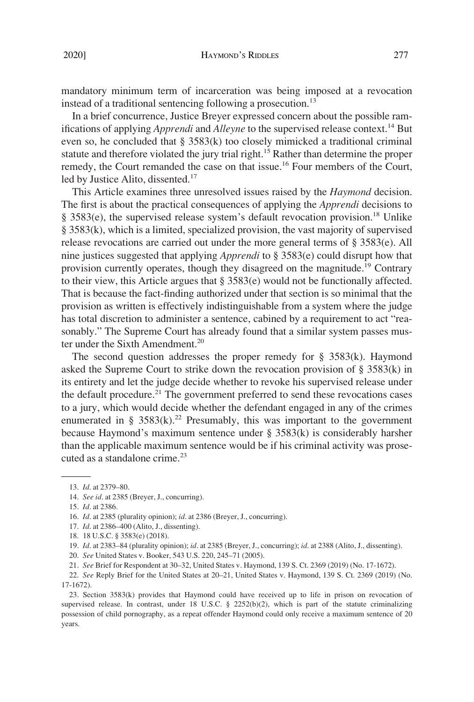mandatory minimum term of incarceration was being imposed at a revocation instead of a traditional sentencing following a prosecution.<sup>13</sup>

In a brief concurrence, Justice Breyer expressed concern about the possible ramifications of applying *Apprendi* and *Alleyne* to the supervised release context.<sup>14</sup> But even so, he concluded that § 3583(k) too closely mimicked a traditional criminal statute and therefore violated the jury trial right.<sup>15</sup> Rather than determine the proper remedy, the Court remanded the case on that issue.<sup>16</sup> Four members of the Court, led by Justice Alito, dissented.<sup>17</sup>

This Article examines three unresolved issues raised by the *Haymond* decision. The frst is about the practical consequences of applying the *Apprendi* decisions to § 3583(e), the supervised release system's default revocation provision.<sup>18</sup> Unlike § 3583(k), which is a limited, specialized provision, the vast majority of supervised release revocations are carried out under the more general terms of § 3583(e). All nine justices suggested that applying *Apprendi* to § 3583(e) could disrupt how that provision currently operates, though they disagreed on the magnitude.19 Contrary to their view, this Article argues that § 3583(e) would not be functionally affected. That is because the fact-fnding authorized under that section is so minimal that the provision as written is effectively indistinguishable from a system where the judge has total discretion to administer a sentence, cabined by a requirement to act "reasonably." The Supreme Court has already found that a similar system passes muster under the Sixth Amendment.<sup>20</sup>

The second question addresses the proper remedy for  $\S$  3583(k). Haymond asked the Supreme Court to strike down the revocation provision of  $\S 3583(k)$  in its entirety and let the judge decide whether to revoke his supervised release under the default procedure.<sup>21</sup> The government preferred to send these revocations cases to a jury, which would decide whether the defendant engaged in any of the crimes enumerated in §  $3583(k)$ <sup>22</sup> Presumably, this was important to the government because Haymond's maximum sentence under § 3583(k) is considerably harsher than the applicable maximum sentence would be if his criminal activity was prosecuted as a standalone crime. $^{23}$ 

<sup>13.</sup> *Id*. at 2379–80.

<sup>14.</sup> *See id*. at 2385 (Breyer, J., concurring).

<sup>15.</sup> *Id*. at 2386.

<sup>16.</sup> *Id*. at 2385 (plurality opinion); *id*. at 2386 (Breyer, J., concurring).

<sup>17.</sup> *Id*. at 2386–400 (Alito, J., dissenting).

<sup>18. 18</sup> U.S.C. § 3583(e) (2018).

<sup>19.</sup> *Id*. at 2383–84 (plurality opinion); *id*. at 2385 (Breyer, J., concurring); *id*. at 2388 (Alito, J., dissenting).

<sup>20.</sup> *See* United States v. Booker, 543 U.S. 220, 245–71 (2005).

<sup>21.</sup> *See* Brief for Respondent at 30–32, United States v. Haymond, 139 S. Ct. 2369 (2019) (No. 17-1672).

<sup>22.</sup> *See* Reply Brief for the United States at 20–21, United States v. Haymond, 139 S. Ct. 2369 (2019) (No. 17-1672).

<sup>23.</sup> Section 3583(k) provides that Haymond could have received up to life in prison on revocation of supervised release. In contrast, under 18 U.S.C. § 2252(b)(2), which is part of the statute criminalizing possession of child pornography, as a repeat offender Haymond could only receive a maximum sentence of 20 years.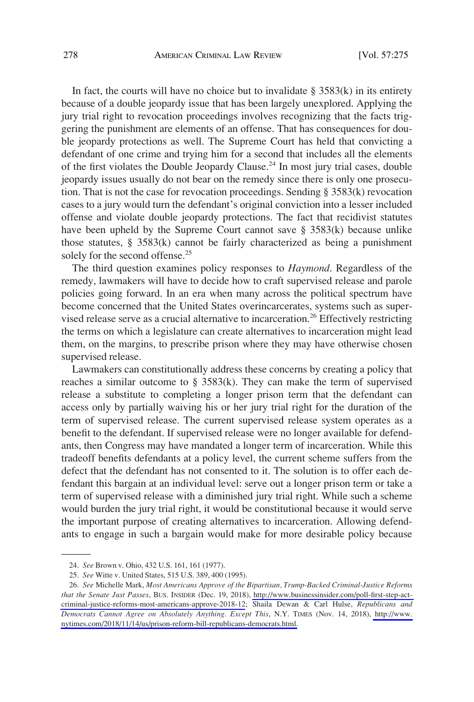In fact, the courts will have no choice but to invalidate  $\S$  3583(k) in its entirety because of a double jeopardy issue that has been largely unexplored. Applying the jury trial right to revocation proceedings involves recognizing that the facts triggering the punishment are elements of an offense. That has consequences for double jeopardy protections as well. The Supreme Court has held that convicting a defendant of one crime and trying him for a second that includes all the elements of the first violates the Double Jeopardy Clause.<sup>24</sup> In most jury trial cases, double jeopardy issues usually do not bear on the remedy since there is only one prosecution. That is not the case for revocation proceedings. Sending § 3583(k) revocation cases to a jury would turn the defendant's original conviction into a lesser included offense and violate double jeopardy protections. The fact that recidivist statutes have been upheld by the Supreme Court cannot save § 3583(k) because unlike those statutes, § 3583(k) cannot be fairly characterized as being a punishment solely for the second offense.<sup>25</sup>

The third question examines policy responses to *Haymond*. Regardless of the remedy, lawmakers will have to decide how to craft supervised release and parole policies going forward. In an era when many across the political spectrum have become concerned that the United States overincarcerates, systems such as supervised release serve as a crucial alternative to incarceration.<sup>26</sup> Effectively restricting the terms on which a legislature can create alternatives to incarceration might lead them, on the margins, to prescribe prison where they may have otherwise chosen supervised release.

Lawmakers can constitutionally address these concerns by creating a policy that reaches a similar outcome to  $\S$  3583(k). They can make the term of supervised release a substitute to completing a longer prison term that the defendant can access only by partially waiving his or her jury trial right for the duration of the term of supervised release. The current supervised release system operates as a beneft to the defendant. If supervised release were no longer available for defendants, then Congress may have mandated a longer term of incarceration. While this tradeoff benefts defendants at a policy level, the current scheme suffers from the defect that the defendant has not consented to it. The solution is to offer each defendant this bargain at an individual level: serve out a longer prison term or take a term of supervised release with a diminished jury trial right. While such a scheme would burden the jury trial right, it would be constitutional because it would serve the important purpose of creating alternatives to incarceration. Allowing defendants to engage in such a bargain would make for more desirable policy because

<sup>24.</sup> *See* Brown v. Ohio, 432 U.S. 161, 161 (1977).

<sup>25.</sup> *See* Witte v. United States, 515 U.S. 389, 400 (1995).

*See* Michelle Mark, *Most Americans Approve of the Bipartisan, Trump-Backed Criminal-Justice Reforms*  26. *that the Senate Just Passes*, BUS. INSIDER (Dec. 19, 2018), [http://www.businessinsider.com/poll-frst-step-act](http://www.businessinsider.com/poll-first-step-act-criminal-justice-reforms-most-americans-approve-2018-12)[criminal-justice-reforms-most-americans-approve-2018-12;](http://www.businessinsider.com/poll-first-step-act-criminal-justice-reforms-most-americans-approve-2018-12) Shaila Dewan & Carl Hulse, *Republicans and Democrats Cannot Agree on Absolutely Anything. Except This*, N.Y. TIMES (Nov. 14, 2018), [http://www.](http://www.nytimes.com/2018/11/14/us/prison-reform-bill-republicans-democrats.html)  [nytimes.com/2018/11/14/us/prison-reform-bill-republicans-democrats.html.](http://www.nytimes.com/2018/11/14/us/prison-reform-bill-republicans-democrats.html)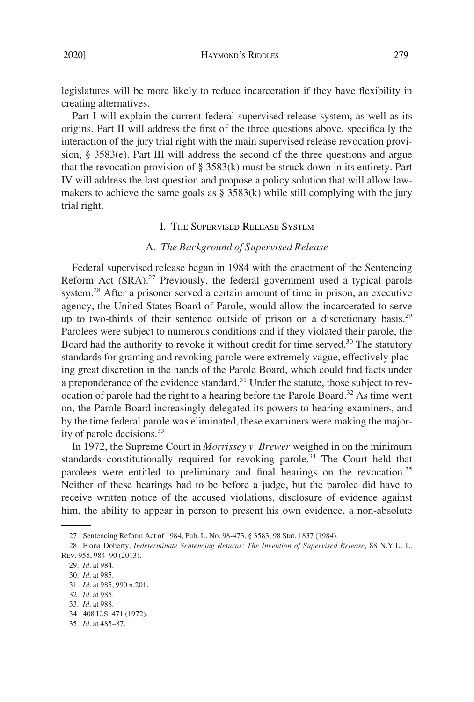legislatures will be more likely to reduce incarceration if they have fexibility in creating alternatives.

Part I will explain the current federal supervised release system, as well as its origins. Part II will address the frst of the three questions above, specifcally the interaction of the jury trial right with the main supervised release revocation provision, § 3583(e). Part III will address the second of the three questions and argue that the revocation provision of  $\S$  3583(k) must be struck down in its entirety. Part IV will address the last question and propose a policy solution that will allow lawmakers to achieve the same goals as  $\S$  3583(k) while still complying with the jury trial right.

### I. THE SUPERVISED RELEASE SYSTEM

# A*. The Background of Supervised Release*

Federal supervised release began in 1984 with the enactment of the Sentencing Reform Act  $(SRA)$ <sup>27</sup> Previously, the federal government used a typical parole system.28 After a prisoner served a certain amount of time in prison, an executive agency, the United States Board of Parole, would allow the incarcerated to serve up to two-thirds of their sentence outside of prison on a discretionary basis.<sup>29</sup> Parolees were subject to numerous conditions and if they violated their parole, the Board had the authority to revoke it without credit for time served.<sup>30</sup> The statutory standards for granting and revoking parole were extremely vague, effectively placing great discretion in the hands of the Parole Board, which could fnd facts under a preponderance of the evidence standard.<sup>31</sup> Under the statute, those subject to revocation of parole had the right to a hearing before the Parole Board.<sup>32</sup> As time went on, the Parole Board increasingly delegated its powers to hearing examiners, and by the time federal parole was eliminated, these examiners were making the majority of parole decisions.<sup>33</sup>

In 1972, the Supreme Court in *Morrissey v. Brewer* weighed in on the minimum standards constitutionally required for revoking parole.<sup>34</sup> The Court held that parolees were entitled to preliminary and final hearings on the revocation.<sup>35</sup> Neither of these hearings had to be before a judge, but the parolee did have to receive written notice of the accused violations, disclosure of evidence against him, the ability to appear in person to present his own evidence, a non-absolute

<sup>27.</sup> Sentencing Reform Act of 1984, Pub. L. No. 98-473, § 3583, 98 Stat. 1837 (1984).

<sup>28.</sup> Fiona Doherty, *Indeterminate Sentencing Returns: The Invention of Supervised Release*, 88 N.Y.U. L. REV. 958, 984–90 (2013).

<sup>29.</sup> *Id*. at 984.

<sup>30.</sup> *Id*. at 985.

<sup>31.</sup> *Id*. at 985, 990 n.201.

<sup>32.</sup> *Id*. at 985.

<sup>33.</sup> *Id*. at 988.

<sup>34. 408</sup> U.S. 471 (1972).

<sup>35.</sup> *Id*. at 485–87.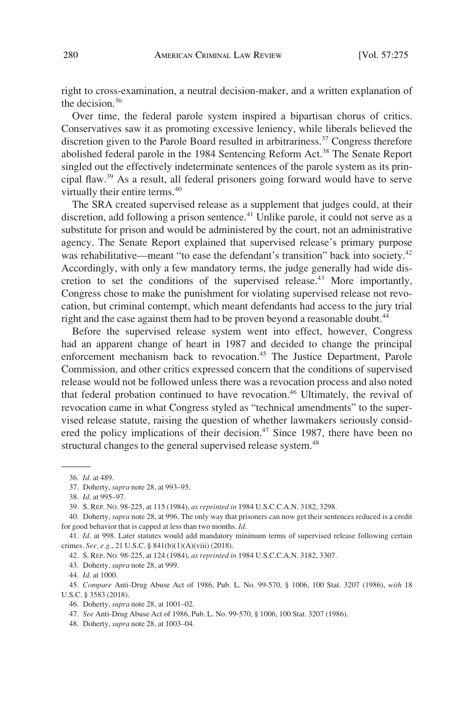right to cross-examination, a neutral decision-maker, and a written explanation of the decision.36

Over time, the federal parole system inspired a bipartisan chorus of critics. Conservatives saw it as promoting excessive leniency, while liberals believed the discretion given to the Parole Board resulted in arbitrariness.<sup>37</sup> Congress therefore abolished federal parole in the 1984 Sentencing Reform Act.<sup>38</sup> The Senate Report singled out the effectively indeterminate sentences of the parole system as its principal faw.39 As a result, all federal prisoners going forward would have to serve virtually their entire terms.<sup>40</sup>

The SRA created supervised release as a supplement that judges could, at their discretion, add following a prison sentence.<sup>41</sup> Unlike parole, it could not serve as a substitute for prison and would be administered by the court, not an administrative agency. The Senate Report explained that supervised release's primary purpose was rehabilitative—meant "to ease the defendant's transition" back into society.<sup>42</sup> Accordingly, with only a few mandatory terms, the judge generally had wide discretion to set the conditions of the supervised release.43 More importantly, Congress chose to make the punishment for violating supervised release not revocation, but criminal contempt, which meant defendants had access to the jury trial right and the case against them had to be proven beyond a reasonable doubt.<sup>44</sup>

Before the supervised release system went into effect, however, Congress had an apparent change of heart in 1987 and decided to change the principal enforcement mechanism back to revocation.<sup>45</sup> The Justice Department, Parole Commission, and other critics expressed concern that the conditions of supervised release would not be followed unless there was a revocation process and also noted that federal probation continued to have revocation.<sup>46</sup> Ultimately, the revival of revocation came in what Congress styled as "technical amendments" to the supervised release statute, raising the question of whether lawmakers seriously considered the policy implications of their decision.<sup>47</sup> Since 1987, there have been no structural changes to the general supervised release system.<sup>48</sup>

48. Doherty, *supra* note 28, at 1003–04.

<sup>36.</sup> *Id*. at 489.

<sup>37.</sup> Doherty, *supra* note 28, at 993–95.

<sup>38.</sup> *Id*. at 995–97.

<sup>39.</sup> S. REP. NO. 98-225, at 115 (1984), *as reprinted in* 1984 U.S.C.C.A.N. 3182, 3298.

<sup>40.</sup> Doherty, *supra* note 28, at 996. The only way that prisoners can now get their sentences reduced is a credit for good behavior that is capped at less than two months. *Id*.

<sup>41.</sup> *Id*. at 998. Later statutes would add mandatory minimum terms of supervised release following certain crimes. *See, e.g*., 21 U.S.C. § 841(b)(1)(A)(viii) (2018).

<sup>42.</sup> S. REP. NO. 98-225, at 124 (1984), *as reprinted in* 1984 U.S.C.C.A.N. 3182, 3307.

<sup>43.</sup> Doherty, *supra* note 28, at 999.

<sup>44.</sup> *Id*. at 1000.

<sup>45.</sup> *Compare* Anti-Drug Abuse Act of 1986, Pub. L. No. 99-570, § 1006, 100 Stat. 3207 (1986), *with* 18 U.S.C. § 3583 (2018).

<sup>46.</sup> Doherty, *supra* note 28, at 1001–02.

<sup>47.</sup> *See* Anti-Drug Abuse Act of 1986, Pub. L. No. 99-570, § 1006, 100 Stat. 3207 (1986).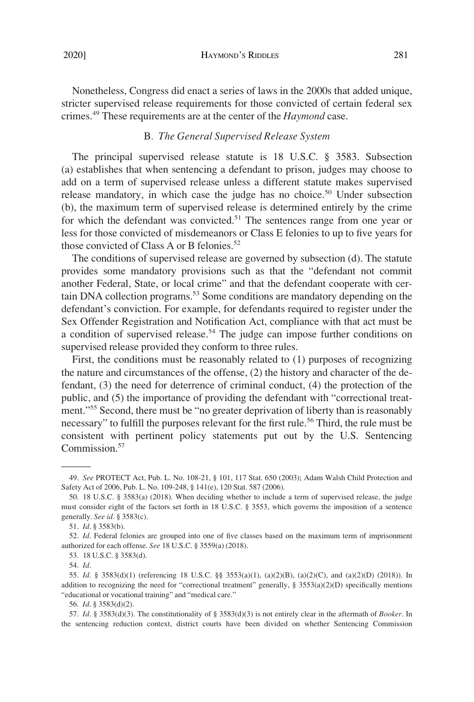Nonetheless, Congress did enact a series of laws in the 2000s that added unique, stricter supervised release requirements for those convicted of certain federal sex crimes.49 These requirements are at the center of the *Haymond* case.

# B*. The General Supervised Release System*

The principal supervised release statute is 18 U.S.C. § 3583. Subsection (a) establishes that when sentencing a defendant to prison, judges may choose to add on a term of supervised release unless a different statute makes supervised release mandatory, in which case the judge has no choice.<sup>50</sup> Under subsection (b), the maximum term of supervised release is determined entirely by the crime for which the defendant was convicted.<sup>51</sup> The sentences range from one year or less for those convicted of misdemeanors or Class E felonies to up to fve years for those convicted of Class A or B felonies.<sup>52</sup>

The conditions of supervised release are governed by subsection (d). The statute provides some mandatory provisions such as that the "defendant not commit another Federal, State, or local crime" and that the defendant cooperate with certain DNA collection programs.<sup>53</sup> Some conditions are mandatory depending on the defendant's conviction. For example, for defendants required to register under the Sex Offender Registration and Notifcation Act, compliance with that act must be a condition of supervised release.<sup>54</sup> The judge can impose further conditions on supervised release provided they conform to three rules.

First, the conditions must be reasonably related to (1) purposes of recognizing the nature and circumstances of the offense, (2) the history and character of the defendant, (3) the need for deterrence of criminal conduct, (4) the protection of the public, and (5) the importance of providing the defendant with "correctional treatment."55 Second, there must be "no greater deprivation of liberty than is reasonably necessary" to fulfill the purposes relevant for the first rule.<sup>56</sup> Third, the rule must be consistent with pertinent policy statements put out by the U.S. Sentencing Commission.<sup>57</sup>

<sup>49.</sup> *See* PROTECT Act, Pub. L. No. 108-21, § 101, 117 Stat. 650 (2003); Adam Walsh Child Protection and Safety Act of 2006, Pub. L. No. 109-248, § 141(e), 120 Stat. 587 (2006).

<sup>50. 18</sup> U.S.C. § 3583(a) (2018). When deciding whether to include a term of supervised release, the judge must consider eight of the factors set forth in 18 U.S.C. § 3553, which governs the imposition of a sentence generally. *See id*. § 3583(c).

<sup>51.</sup> *Id*. § 3583(b).

<sup>52.</sup> *Id*. Federal felonies are grouped into one of fve classes based on the maximum term of imprisonment authorized for each offense. *See* 18 U.S.C. § 3559(a) (2018).

<sup>53. 18</sup> U.S.C. § 3583(d).

<sup>54.</sup> *Id*.

<sup>55.</sup> *Id*. § 3583(d)(1) (referencing 18 U.S.C. §§ 3553(a)(1), (a)(2)(B), (a)(2)(C), and (a)(2)(D) (2018)). In addition to recognizing the need for "correctional treatment" generally,  $\S 3553(a)(2)(D)$  specifically mentions "educational or vocational training" and "medical care."

<sup>56.</sup> *Id*. § 3583(d)(2).

<sup>57.</sup> *Id*. § 3583(d)(3). The constitutionality of § 3583(d)(3) is not entirely clear in the aftermath of *Booker*. In the sentencing reduction context, district courts have been divided on whether Sentencing Commission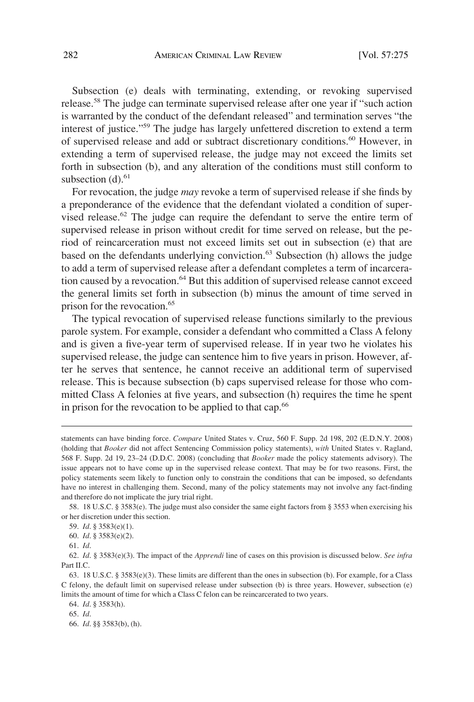Subsection (e) deals with terminating, extending, or revoking supervised release.58 The judge can terminate supervised release after one year if "such action is warranted by the conduct of the defendant released" and termination serves "the interest of justice."59 The judge has largely unfettered discretion to extend a term of supervised release and add or subtract discretionary conditions.<sup>60</sup> However, in extending a term of supervised release, the judge may not exceed the limits set forth in subsection (b), and any alteration of the conditions must still conform to subsection  $(d)$ .<sup>61</sup>

For revocation, the judge *may* revoke a term of supervised release if she fnds by a preponderance of the evidence that the defendant violated a condition of supervised release.<sup>62</sup> The judge can require the defendant to serve the entire term of supervised release in prison without credit for time served on release, but the period of reincarceration must not exceed limits set out in subsection (e) that are based on the defendants underlying conviction.<sup>63</sup> Subsection (h) allows the judge to add a term of supervised release after a defendant completes a term of incarceration caused by a revocation.<sup>64</sup> But this addition of supervised release cannot exceed the general limits set forth in subsection (b) minus the amount of time served in prison for the revocation.<sup>65</sup>

The typical revocation of supervised release functions similarly to the previous parole system. For example, consider a defendant who committed a Class A felony and is given a fve-year term of supervised release. If in year two he violates his supervised release, the judge can sentence him to fve years in prison. However, after he serves that sentence, he cannot receive an additional term of supervised release. This is because subsection (b) caps supervised release for those who committed Class A felonies at fve years, and subsection (h) requires the time he spent in prison for the revocation to be applied to that cap.<sup>66</sup>

60. *Id*. § 3583(e)(2).

statements can have binding force. *Compare* United States v. Cruz, 560 F. Supp. 2d 198, 202 (E.D.N.Y. 2008) (holding that *Booker* did not affect Sentencing Commission policy statements), *with* United States v. Ragland, 568 F. Supp. 2d 19, 23–24 (D.D.C. 2008) (concluding that *Booker* made the policy statements advisory). The issue appears not to have come up in the supervised release context. That may be for two reasons. First, the policy statements seem likely to function only to constrain the conditions that can be imposed, so defendants have no interest in challenging them. Second, many of the policy statements may not involve any fact-fnding and therefore do not implicate the jury trial right.

<sup>58. 18</sup> U.S.C. § 3583(e). The judge must also consider the same eight factors from § 3553 when exercising his or her discretion under this section.

<sup>59.</sup> *Id*. § 3583(e)(1).

<sup>61.</sup> *Id*.

<sup>62.</sup> *Id*. § 3583(e)(3). The impact of the *Apprendi* line of cases on this provision is discussed below. *See infra*  Part II.C.

<sup>63. 18</sup> U.S.C. § 3583(e)(3). These limits are different than the ones in subsection (b). For example, for a Class C felony, the default limit on supervised release under subsection (b) is three years. However, subsection (e) limits the amount of time for which a Class C felon can be reincarcerated to two years.

<sup>64.</sup> *Id*. § 3583(h).

<sup>65.</sup> *Id*.

<sup>66.</sup> *Id*. §§ 3583(b), (h).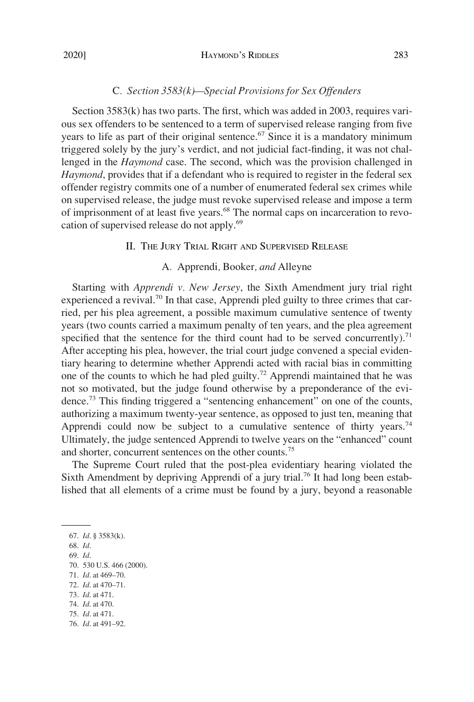# C*. Section 3583(k)—Special Provisions for Sex Offenders*

Section  $3583(k)$  has two parts. The first, which was added in 2003, requires various sex offenders to be sentenced to a term of supervised release ranging from fve years to life as part of their original sentence.<sup>67</sup> Since it is a mandatory minimum triggered solely by the jury's verdict, and not judicial fact-fnding, it was not challenged in the *Haymond* case. The second, which was the provision challenged in *Haymond*, provides that if a defendant who is required to register in the federal sex offender registry commits one of a number of enumerated federal sex crimes while on supervised release, the judge must revoke supervised release and impose a term of imprisonment of at least five years.<sup>68</sup> The normal caps on incarceration to revocation of supervised release do not apply.<sup>69</sup>

## II. THE JURY TRIAL RIGHT AND SUPERVISED RELEASE

# A*.* Apprendi*,* Booker*, and* Alleyne

Starting with *Apprendi v. New Jersey*, the Sixth Amendment jury trial right experienced a revival.<sup>70</sup> In that case, Apprendi pled guilty to three crimes that carried, per his plea agreement, a possible maximum cumulative sentence of twenty years (two counts carried a maximum penalty of ten years, and the plea agreement specified that the sentence for the third count had to be served concurrently).<sup>71</sup> After accepting his plea, however, the trial court judge convened a special evidentiary hearing to determine whether Apprendi acted with racial bias in committing one of the counts to which he had pled guilty.<sup>72</sup> Apprendi maintained that he was not so motivated, but the judge found otherwise by a preponderance of the evidence.73 This fnding triggered a "sentencing enhancement" on one of the counts, authorizing a maximum twenty-year sentence, as opposed to just ten, meaning that Apprendi could now be subject to a cumulative sentence of thirty years.<sup>74</sup> Ultimately, the judge sentenced Apprendi to twelve years on the "enhanced" count and shorter, concurrent sentences on the other counts.<sup>75</sup>

The Supreme Court ruled that the post-plea evidentiary hearing violated the Sixth Amendment by depriving Apprendi of a jury trial.<sup>76</sup> It had long been established that all elements of a crime must be found by a jury, beyond a reasonable

73. *Id*. at 471.

75. *Id*. at 471.

<sup>67.</sup> *Id*. § 3583(k).

<sup>68.</sup> *Id*.

<sup>69.</sup> *Id*.

<sup>70. 530</sup> U.S. 466 (2000).

<sup>71.</sup> *Id*. at 469–70.

<sup>72.</sup> *Id*. at 470–71.

<sup>74.</sup> *Id*. at 470.

<sup>76.</sup> *Id*. at 491–92.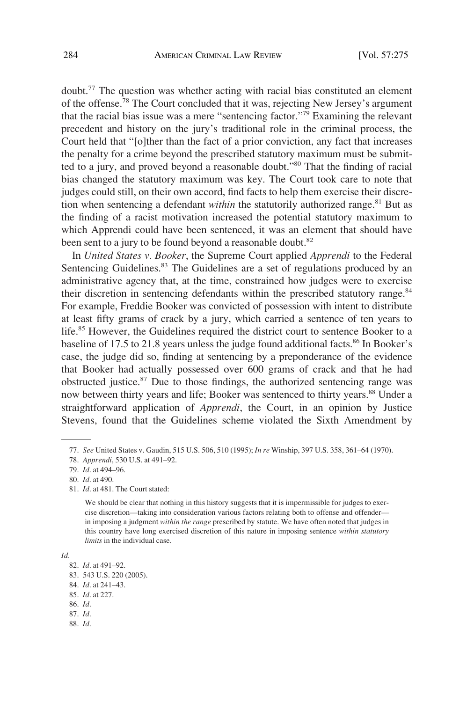doubt.77 The question was whether acting with racial bias constituted an element of the offense.78 The Court concluded that it was, rejecting New Jersey's argument that the racial bias issue was a mere "sentencing factor."79 Examining the relevant precedent and history on the jury's traditional role in the criminal process, the Court held that "[o]ther than the fact of a prior conviction, any fact that increases the penalty for a crime beyond the prescribed statutory maximum must be submitted to a jury, and proved beyond a reasonable doubt."<sup>80</sup> That the finding of racial bias changed the statutory maximum was key. The Court took care to note that judges could still, on their own accord, fnd facts to help them exercise their discretion when sentencing a defendant *within* the statutorily authorized range.<sup>81</sup> But as the fnding of a racist motivation increased the potential statutory maximum to which Apprendi could have been sentenced, it was an element that should have been sent to a jury to be found beyond a reasonable doubt.<sup>82</sup>

In *United States v. Booker*, the Supreme Court applied *Apprendi* to the Federal Sentencing Guidelines.<sup>83</sup> The Guidelines are a set of regulations produced by an administrative agency that, at the time, constrained how judges were to exercise their discretion in sentencing defendants within the prescribed statutory range.<sup>84</sup> For example, Freddie Booker was convicted of possession with intent to distribute at least ffty grams of crack by a jury, which carried a sentence of ten years to life.<sup>85</sup> However, the Guidelines required the district court to sentence Booker to a baseline of 17.5 to 21.8 years unless the judge found additional facts.<sup>86</sup> In Booker's case, the judge did so, fnding at sentencing by a preponderance of the evidence that Booker had actually possessed over 600 grams of crack and that he had obstructed justice. $87$  Due to those findings, the authorized sentencing range was now between thirty years and life; Booker was sentenced to thirty years.<sup>88</sup> Under a straightforward application of *Apprendi*, the Court, in an opinion by Justice Stevens, found that the Guidelines scheme violated the Sixth Amendment by

81. *Id*. at 481. The Court stated:

We should be clear that nothing in this history suggests that it is impermissible for judges to exercise discretion—taking into consideration various factors relating both to offense and offender in imposing a judgment *within the range* prescribed by statute. We have often noted that judges in this country have long exercised discretion of this nature in imposing sentence *within statutory limits* in the individual case.

*Id*.

88. *Id*.

<sup>77.</sup> *See* United States v. Gaudin, 515 U.S. 506, 510 (1995); *In re* Winship, 397 U.S. 358, 361–64 (1970).

<sup>78.</sup> *Apprendi*, 530 U.S. at 491–92.

<sup>79.</sup> *Id*. at 494–96.

<sup>80.</sup> *Id*. at 490.

<sup>82.</sup> *Id*. at 491–92.

<sup>83. 543</sup> U.S. 220 (2005).

<sup>84.</sup> *Id*. at 241–43.

<sup>85.</sup> *Id*. at 227.

<sup>86.</sup> *Id*.

<sup>87.</sup> *Id*.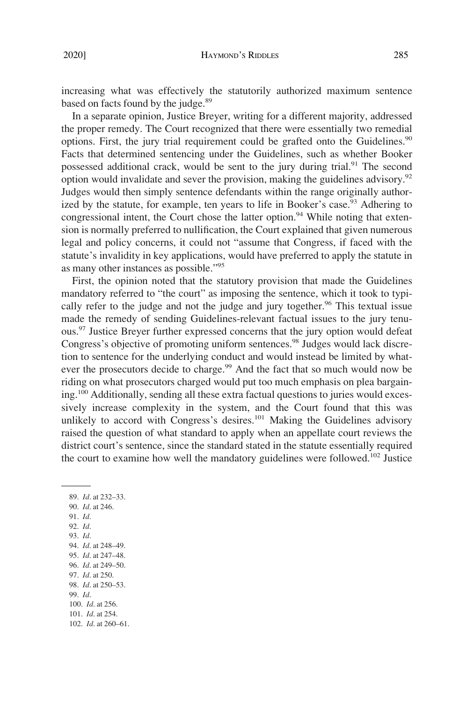increasing what was effectively the statutorily authorized maximum sentence based on facts found by the judge.<sup>89</sup>

In a separate opinion, Justice Breyer, writing for a different majority, addressed the proper remedy. The Court recognized that there were essentially two remedial options. First, the jury trial requirement could be grafted onto the Guidelines. $90$ Facts that determined sentencing under the Guidelines, such as whether Booker possessed additional crack, would be sent to the jury during trial.<sup>91</sup> The second option would invalidate and sever the provision, making the guidelines advisory.<sup>92</sup> Judges would then simply sentence defendants within the range originally authorized by the statute, for example, ten years to life in Booker's case.<sup>93</sup> Adhering to congressional intent, the Court chose the latter option.<sup>94</sup> While noting that extension is normally preferred to nullifcation, the Court explained that given numerous legal and policy concerns, it could not "assume that Congress, if faced with the statute's invalidity in key applications, would have preferred to apply the statute in as many other instances as possible."95

First, the opinion noted that the statutory provision that made the Guidelines mandatory referred to "the court" as imposing the sentence, which it took to typically refer to the judge and not the judge and jury together.<sup>96</sup> This textual issue made the remedy of sending Guidelines-relevant factual issues to the jury tenuous.<sup>97</sup> Justice Breyer further expressed concerns that the jury option would defeat Congress's objective of promoting uniform sentences.<sup>98</sup> Judges would lack discretion to sentence for the underlying conduct and would instead be limited by whatever the prosecutors decide to charge.<sup>99</sup> And the fact that so much would now be riding on what prosecutors charged would put too much emphasis on plea bargaining.100 Additionally, sending all these extra factual questions to juries would excessively increase complexity in the system, and the Court found that this was unlikely to accord with Congress's desires.<sup>101</sup> Making the Guidelines advisory raised the question of what standard to apply when an appellate court reviews the district court's sentence, since the standard stated in the statute essentially required the court to examine how well the mandatory guidelines were followed.<sup>102</sup> Justice

89. *Id*. at 232–33. 90. *Id*. at 246. 91. *Id*. 92. *Id*. 93. *Id*. 94. *Id*. at 248–49. 95. *Id*. at 247–48. 96. *Id*. at 249–50. 97. *Id*. at 250. 98. *Id*. at 250–53. 99. *Id*. 100. *Id*. at 256. 101. *Id*. at 254. 102. *Id*. at 260–61.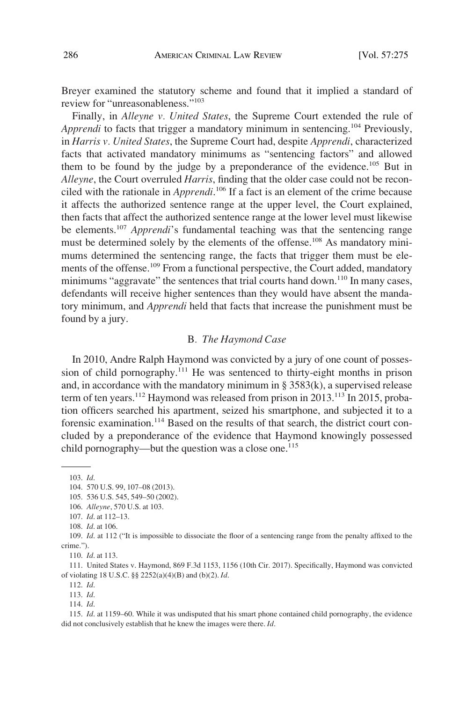Breyer examined the statutory scheme and found that it implied a standard of review for "unreasonableness."103

Finally, in *Alleyne v. United States*, the Supreme Court extended the rule of *Apprendi* to facts that trigger a mandatory minimum in sentencing.<sup>104</sup> Previously, in *Harris v. United States*, the Supreme Court had, despite *Apprendi*, characterized facts that activated mandatory minimums as "sentencing factors" and allowed them to be found by the judge by a preponderance of the evidence.<sup>105</sup> But in *Alleyne*, the Court overruled *Harris*, fnding that the older case could not be reconciled with the rationale in *Apprendi*. 106 If a fact is an element of the crime because it affects the authorized sentence range at the upper level, the Court explained, then facts that affect the authorized sentence range at the lower level must likewise be elements.107 *Apprendi*'s fundamental teaching was that the sentencing range must be determined solely by the elements of the offense.<sup>108</sup> As mandatory minimums determined the sentencing range, the facts that trigger them must be elements of the offense.<sup>109</sup> From a functional perspective, the Court added, mandatory minimums "aggravate" the sentences that trial courts hand down.<sup>110</sup> In many cases, defendants will receive higher sentences than they would have absent the mandatory minimum, and *Apprendi* held that facts that increase the punishment must be found by a jury.

#### B*. The Haymond Case*

In 2010, Andre Ralph Haymond was convicted by a jury of one count of possession of child pornography.<sup>111</sup> He was sentenced to thirty-eight months in prison and, in accordance with the mandatory minimum in  $\S 3583(k)$ , a supervised release term of ten years.<sup>112</sup> Haymond was released from prison in 2013.<sup>113</sup> In 2015, probation officers searched his apartment, seized his smartphone, and subjected it to a forensic examination.<sup>114</sup> Based on the results of that search, the district court concluded by a preponderance of the evidence that Haymond knowingly possessed child pornography—but the question was a close one.<sup>115</sup>

110. *Id*. at 113.

112. *Id*.

113. *Id*.

114. *Id*.

<sup>103.</sup> *Id*.

<sup>104. 570</sup> U.S. 99, 107–08 (2013).

<sup>105. 536</sup> U.S. 545, 549–50 (2002).

<sup>106.</sup> *Alleyne*, 570 U.S. at 103.

<sup>107.</sup> *Id*. at 112–13.

<sup>108.</sup> *Id*. at 106.

<sup>109.</sup> *Id*. at 112 ("It is impossible to dissociate the foor of a sentencing range from the penalty affxed to the crime.").

<sup>111.</sup> United States v. Haymond, 869 F.3d 1153, 1156 (10th Cir. 2017). Specifcally, Haymond was convicted of violating 18 U.S.C. §§ 2252(a)(4)(B) and (b)(2). *Id*.

<sup>115.</sup> *Id*. at 1159–60. While it was undisputed that his smart phone contained child pornography, the evidence did not conclusively establish that he knew the images were there. *Id*.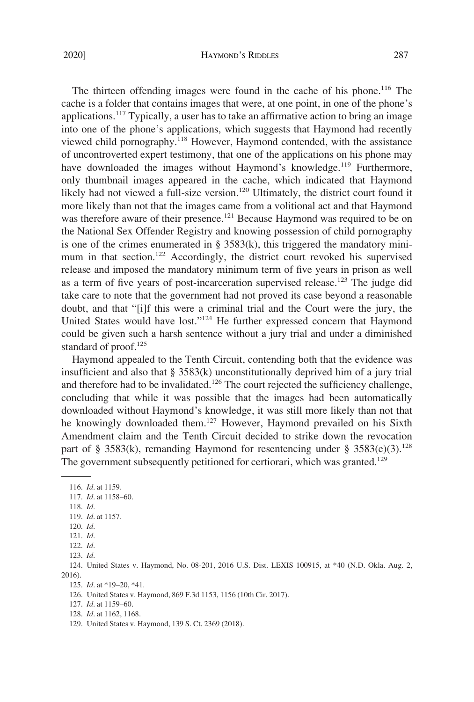The thirteen offending images were found in the cache of his phone.<sup>116</sup> The cache is a folder that contains images that were, at one point, in one of the phone's applications.117 Typically, a user has to take an affrmative action to bring an image into one of the phone's applications, which suggests that Haymond had recently viewed child pornography.<sup>118</sup> However, Haymond contended, with the assistance of uncontroverted expert testimony, that one of the applications on his phone may have downloaded the images without Haymond's knowledge.<sup>119</sup> Furthermore, only thumbnail images appeared in the cache, which indicated that Haymond likely had not viewed a full-size version.<sup>120</sup> Ultimately, the district court found it more likely than not that the images came from a volitional act and that Haymond was therefore aware of their presence.<sup>121</sup> Because Haymond was required to be on the National Sex Offender Registry and knowing possession of child pornography is one of the crimes enumerated in  $\S$  3583(k), this triggered the mandatory minimum in that section.<sup>122</sup> Accordingly, the district court revoked his supervised release and imposed the mandatory minimum term of fve years in prison as well as a term of five years of post-incarceration supervised release.<sup>123</sup> The judge did take care to note that the government had not proved its case beyond a reasonable doubt, and that "[i]f this were a criminal trial and the Court were the jury, the United States would have lost."124 He further expressed concern that Haymond could be given such a harsh sentence without a jury trial and under a diminished standard of proof. $125$ 

Haymond appealed to the Tenth Circuit, contending both that the evidence was insufficient and also that  $\S 3583(k)$  unconstitutionally deprived him of a jury trial and therefore had to be invalidated.<sup>126</sup> The court rejected the sufficiency challenge, concluding that while it was possible that the images had been automatically downloaded without Haymond's knowledge, it was still more likely than not that he knowingly downloaded them.<sup>127</sup> However, Haymond prevailed on his Sixth Amendment claim and the Tenth Circuit decided to strike down the revocation part of § 3583(k), remanding Haymond for resentencing under § 3583(e)(3).<sup>128</sup> The government subsequently petitioned for certiorari, which was granted.<sup>129</sup>

118. *Id*.

<sup>116.</sup> *Id*. at 1159.

<sup>117.</sup> *Id*. at 1158–60.

<sup>119.</sup> *Id*. at 1157.

<sup>120.</sup> *Id*.

<sup>121.</sup> *Id*.

<sup>122.</sup> *Id*. 123. *Id*.

<sup>124.</sup> United States v. Haymond, No. 08-201, 2016 U.S. Dist. LEXIS 100915, at \*40 (N.D. Okla. Aug. 2, 2016).

<sup>125.</sup> *Id*. at \*19–20, \*41.

<sup>126.</sup> United States v. Haymond, 869 F.3d 1153, 1156 (10th Cir. 2017).

<sup>127.</sup> *Id*. at 1159–60.

<sup>128.</sup> *Id*. at 1162, 1168.

<sup>129.</sup> United States v. Haymond, 139 S. Ct. 2369 (2018).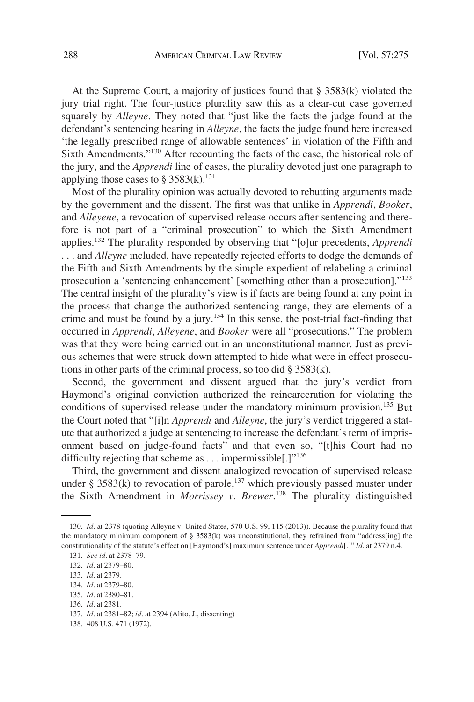At the Supreme Court, a majority of justices found that § 3583(k) violated the jury trial right. The four-justice plurality saw this as a clear-cut case governed squarely by *Alleyne*. They noted that "just like the facts the judge found at the defendant's sentencing hearing in *Alleyne*, the facts the judge found here increased 'the legally prescribed range of allowable sentences' in violation of the Fifth and Sixth Amendments."130 After recounting the facts of the case, the historical role of the jury, and the *Apprendi* line of cases, the plurality devoted just one paragraph to applying those cases to § 3583(k).<sup>131</sup>

Most of the plurality opinion was actually devoted to rebutting arguments made by the government and the dissent. The frst was that unlike in *Apprendi*, *Booker*, and *Alleyene*, a revocation of supervised release occurs after sentencing and therefore is not part of a "criminal prosecution" to which the Sixth Amendment applies.132 The plurality responded by observing that "[o]ur precedents, *Apprendi*  . . . and *Alleyne* included, have repeatedly rejected efforts to dodge the demands of the Fifth and Sixth Amendments by the simple expedient of relabeling a criminal prosecution a 'sentencing enhancement' [something other than a prosecution]."<sup>133</sup> The central insight of the plurality's view is if facts are being found at any point in the process that change the authorized sentencing range, they are elements of a crime and must be found by a jury.<sup>134</sup> In this sense, the post-trial fact-finding that occurred in *Apprendi*, *Alleyene*, and *Booker* were all "prosecutions." The problem was that they were being carried out in an unconstitutional manner. Just as previous schemes that were struck down attempted to hide what were in effect prosecutions in other parts of the criminal process, so too did § 3583(k).

Second, the government and dissent argued that the jury's verdict from Haymond's original conviction authorized the reincarceration for violating the conditions of supervised release under the mandatory minimum provision.<sup>135</sup> But the Court noted that "[i]n *Apprendi* and *Alleyne*, the jury's verdict triggered a statute that authorized a judge at sentencing to increase the defendant's term of imprisonment based on judge-found facts" and that even so, "[t]his Court had no difficulty rejecting that scheme as  $\dots$  impermissible[.] $1^{136}$ 

Third, the government and dissent analogized revocation of supervised release under § 3583 $(k)$  to revocation of parole,<sup>137</sup> which previously passed muster under the Sixth Amendment in *Morrissey v. Brewer*. 138 The plurality distinguished

<sup>130.</sup> *Id*. at 2378 (quoting Alleyne v. United States, 570 U.S. 99, 115 (2013)). Because the plurality found that the mandatory minimum component of  $\S$  3583(k) was unconstitutional, they refrained from "address[ing] the constitutionality of the statute's effect on [Haymond's] maximum sentence under *Apprendi*[.]" *Id*. at 2379 n.4.

<sup>131.</sup> *See id*. at 2378–79.

<sup>132.</sup> *Id*. at 2379–80.

<sup>133.</sup> *Id*. at 2379.

<sup>134.</sup> *Id*. at 2379–80.

<sup>135.</sup> *Id*. at 2380–81.

<sup>136.</sup> *Id*. at 2381.

<sup>137.</sup> *Id*. at 2381–82; *id*. at 2394 (Alito, J., dissenting)

<sup>138. 408</sup> U.S. 471 (1972).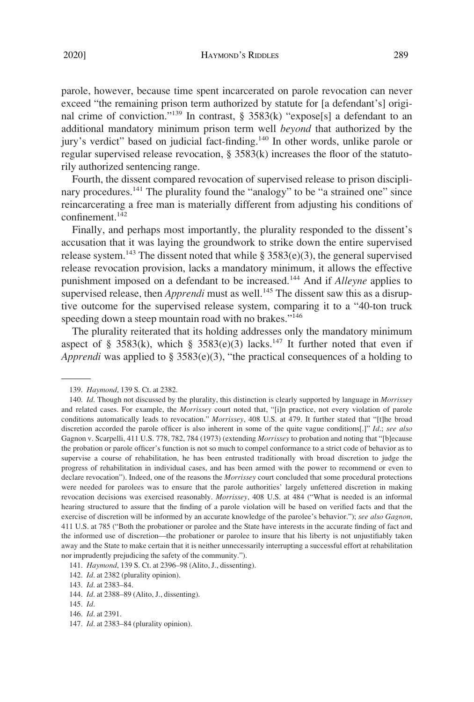parole, however, because time spent incarcerated on parole revocation can never exceed "the remaining prison term authorized by statute for [a defendant's] original crime of conviction."<sup>139</sup> In contrast, § 3583(k) "expose[s] a defendant to an additional mandatory minimum prison term well *beyond* that authorized by the

jury's verdict" based on judicial fact-finding.<sup>140</sup> In other words, unlike parole or regular supervised release revocation,  $\S$  3583(k) increases the floor of the statutorily authorized sentencing range.

Fourth, the dissent compared revocation of supervised release to prison disciplinary procedures.<sup>141</sup> The plurality found the "analogy" to be "a strained one" since reincarcerating a free man is materially different from adjusting his conditions of confinement.<sup>142</sup>

Finally, and perhaps most importantly, the plurality responded to the dissent's accusation that it was laying the groundwork to strike down the entire supervised release system.<sup>143</sup> The dissent noted that while  $\S$  3583(e)(3), the general supervised release revocation provision, lacks a mandatory minimum, it allows the effective punishment imposed on a defendant to be increased.144 And if *Alleyne* applies to supervised release, then *Apprendi* must as well.<sup>145</sup> The dissent saw this as a disruptive outcome for the supervised release system, comparing it to a "40-ton truck speeding down a steep mountain road with no brakes."<sup>146</sup>

The plurality reiterated that its holding addresses only the mandatory minimum aspect of § 3583(k), which § 3583(e)(3) lacks.<sup>147</sup> It further noted that even if *Apprendi* was applied to § 3583(e)(3), "the practical consequences of a holding to

<sup>139.</sup> *Haymond*, 139 S. Ct. at 2382.

<sup>140.</sup> *Id*. Though not discussed by the plurality, this distinction is clearly supported by language in *Morrissey*  and related cases. For example, the *Morrissey* court noted that, "[i]n practice, not every violation of parole conditions automatically leads to revocation." *Morrissey*, 408 U.S. at 479. It further stated that "[t]he broad discretion accorded the parole officer is also inherent in some of the quite vague conditions[.]" *Id.*; see also Gagnon v. Scarpelli, 411 U.S. 778, 782, 784 (1973) (extending *Morrissey* to probation and noting that "[b]ecause the probation or parole offcer's function is not so much to compel conformance to a strict code of behavior as to supervise a course of rehabilitation, he has been entrusted traditionally with broad discretion to judge the progress of rehabilitation in individual cases, and has been armed with the power to recommend or even to declare revocation"). Indeed, one of the reasons the *Morrissey* court concluded that some procedural protections were needed for parolees was to ensure that the parole authorities' largely unfettered discretion in making revocation decisions was exercised reasonably. *Morrissey*, 408 U.S. at 484 ("What is needed is an informal hearing structured to assure that the fnding of a parole violation will be based on verifed facts and that the exercise of discretion will be informed by an accurate knowledge of the parolee's behavior."); *see also Gagnon*, 411 U.S. at 785 ("Both the probationer or parolee and the State have interests in the accurate fnding of fact and the informed use of discretion—the probationer or parolee to insure that his liberty is not unjustifably taken away and the State to make certain that it is neither unnecessarily interrupting a successful effort at rehabilitation nor imprudently prejudicing the safety of the community.").

<sup>141.</sup> *Haymond*, 139 S. Ct. at 2396–98 (Alito, J., dissenting).

<sup>142.</sup> *Id*. at 2382 (plurality opinion).

<sup>143.</sup> *Id*. at 2383–84.

<sup>144.</sup> *Id*. at 2388–89 (Alito, J., dissenting).

<sup>145.</sup> *Id*.

<sup>146.</sup> *Id*. at 2391.

<sup>147.</sup> *Id*. at 2383–84 (plurality opinion).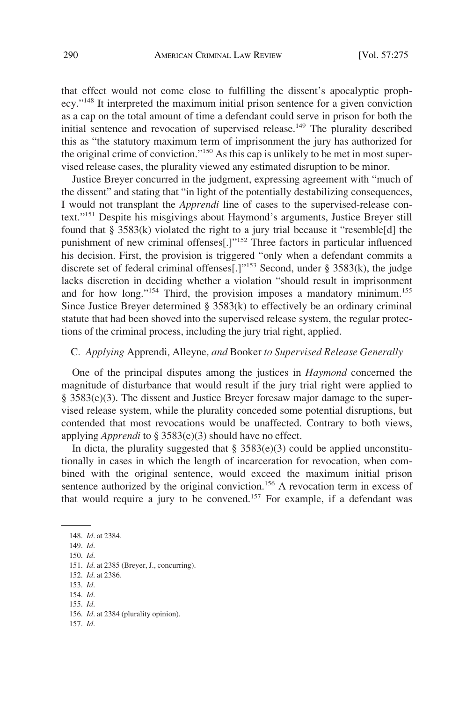that effect would not come close to fulflling the dissent's apocalyptic prophecy."148 It interpreted the maximum initial prison sentence for a given conviction as a cap on the total amount of time a defendant could serve in prison for both the initial sentence and revocation of supervised release.<sup>149</sup> The plurality described this as "the statutory maximum term of imprisonment the jury has authorized for the original crime of conviction."150 As this cap is unlikely to be met in most supervised release cases, the plurality viewed any estimated disruption to be minor.

Justice Breyer concurred in the judgment, expressing agreement with "much of the dissent" and stating that "in light of the potentially destabilizing consequences, I would not transplant the *Apprendi* line of cases to the supervised-release context."151 Despite his misgivings about Haymond's arguments, Justice Breyer still found that § 3583(k) violated the right to a jury trial because it "resemble[d] the punishment of new criminal offenses[.]"152 Three factors in particular infuenced his decision. First, the provision is triggered "only when a defendant commits a discrete set of federal criminal offenses[.]"<sup>153</sup> Second, under § 3583(k), the judge lacks discretion in deciding whether a violation "should result in imprisonment and for how long."<sup>154</sup> Third, the provision imposes a mandatory minimum.<sup>155</sup> Since Justice Breyer determined  $\S$  3583(k) to effectively be an ordinary criminal statute that had been shoved into the supervised release system, the regular protections of the criminal process, including the jury trial right, applied.

### C*. Applying* Apprendi*,* Alleyne*, and* Booker *to Supervised Release Generally*

One of the principal disputes among the justices in *Haymond* concerned the magnitude of disturbance that would result if the jury trial right were applied to § 3583(e)(3). The dissent and Justice Breyer foresaw major damage to the supervised release system, while the plurality conceded some potential disruptions, but contended that most revocations would be unaffected. Contrary to both views, applying *Apprendi* to § 3583(e)(3) should have no effect.

In dicta, the plurality suggested that  $\S 3583(e)(3)$  could be applied unconstitutionally in cases in which the length of incarceration for revocation, when combined with the original sentence, would exceed the maximum initial prison sentence authorized by the original conviction.<sup>156</sup> A revocation term in excess of that would require a jury to be convened.<sup>157</sup> For example, if a defendant was

148. *Id*. at 2384. 149. *Id*. 150. *Id*. 151. *Id*. at 2385 (Breyer, J., concurring). 152. *Id*. at 2386. 153. *Id*. 154. *Id*. 155. *Id*. 156. *Id*. at 2384 (plurality opinion). 157. *Id*.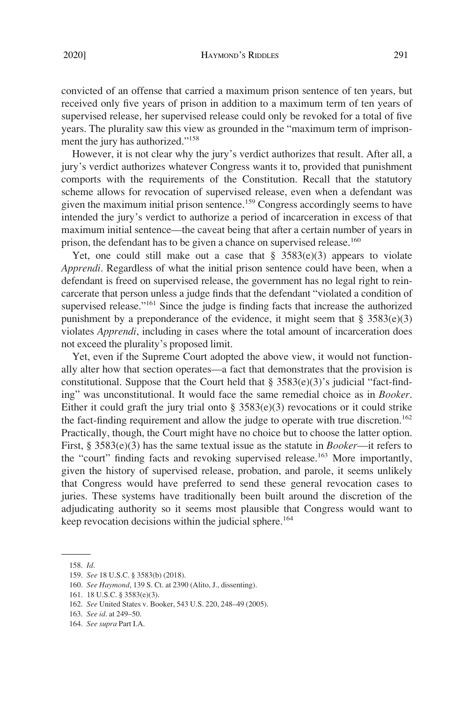convicted of an offense that carried a maximum prison sentence of ten years, but received only fve years of prison in addition to a maximum term of ten years of supervised release, her supervised release could only be revoked for a total of fve years. The plurality saw this view as grounded in the "maximum term of imprisonment the jury has authorized."<sup>158</sup>

However, it is not clear why the jury's verdict authorizes that result. After all, a jury's verdict authorizes whatever Congress wants it to, provided that punishment comports with the requirements of the Constitution. Recall that the statutory scheme allows for revocation of supervised release, even when a defendant was given the maximum initial prison sentence.<sup>159</sup> Congress accordingly seems to have intended the jury's verdict to authorize a period of incarceration in excess of that maximum initial sentence—the caveat being that after a certain number of years in prison, the defendant has to be given a chance on supervised release.<sup>160</sup>

Yet, one could still make out a case that  $\S$  3583(e)(3) appears to violate *Apprendi*. Regardless of what the initial prison sentence could have been, when a defendant is freed on supervised release, the government has no legal right to reincarcerate that person unless a judge fnds that the defendant "violated a condition of supervised release."<sup>161</sup> Since the judge is finding facts that increase the authorized punishment by a preponderance of the evidence, it might seem that  $\S 3583(e)(3)$ violates *Apprendi*, including in cases where the total amount of incarceration does not exceed the plurality's proposed limit.

Yet, even if the Supreme Court adopted the above view, it would not functionally alter how that section operates—a fact that demonstrates that the provision is constitutional. Suppose that the Court held that  $\S$  3583(e)(3)'s judicial "fact-finding" was unconstitutional. It would face the same remedial choice as in *Booker*. Either it could graft the jury trial onto  $\S 3583(e)(3)$  revocations or it could strike the fact-finding requirement and allow the judge to operate with true discretion.<sup>162</sup> Practically, though, the Court might have no choice but to choose the latter option. First, § 3583(e)(3) has the same textual issue as the statute in *Booker*—it refers to the "court" finding facts and revoking supervised release.<sup>163</sup> More importantly, given the history of supervised release, probation, and parole, it seems unlikely that Congress would have preferred to send these general revocation cases to juries. These systems have traditionally been built around the discretion of the adjudicating authority so it seems most plausible that Congress would want to keep revocation decisions within the judicial sphere.<sup>164</sup>

<sup>158.</sup> *Id*.

<sup>159.</sup> *See* 18 U.S.C. § 3583(b) (2018).

<sup>160.</sup> *See Haymond*, 139 S. Ct. at 2390 (Alito, J., dissenting).

<sup>161. 18</sup> U.S.C. § 3583(e)(3).

<sup>162.</sup> *See* United States v. Booker, 543 U.S. 220, 248–49 (2005).

<sup>163.</sup> *See id*. at 249–50.

<sup>164.</sup> *See supra* Part I.A.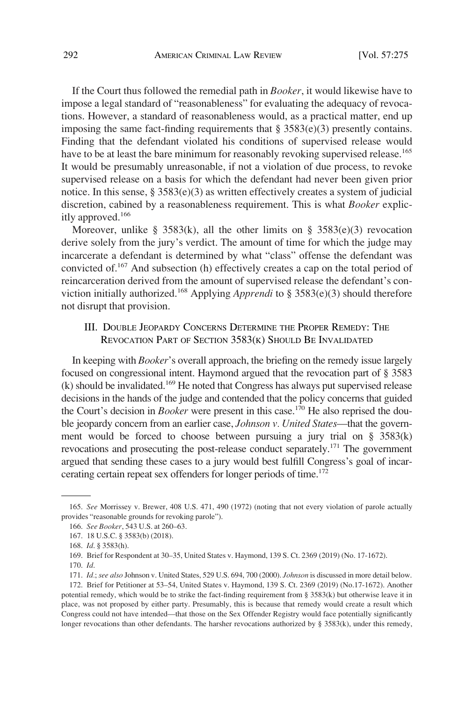If the Court thus followed the remedial path in *Booker*, it would likewise have to impose a legal standard of "reasonableness" for evaluating the adequacy of revocations. However, a standard of reasonableness would, as a practical matter, end up imposing the same fact-finding requirements that  $\S 3583(e)(3)$  presently contains. Finding that the defendant violated his conditions of supervised release would have to be at least the bare minimum for reasonably revoking supervised release.<sup>165</sup> It would be presumably unreasonable, if not a violation of due process, to revoke supervised release on a basis for which the defendant had never been given prior notice. In this sense, § 3583(e)(3) as written effectively creates a system of judicial discretion, cabined by a reasonableness requirement. This is what *Booker* explicitly approved.<sup>166</sup>

Moreover, unlike § 3583(k), all the other limits on § 3583(e)(3) revocation derive solely from the jury's verdict. The amount of time for which the judge may incarcerate a defendant is determined by what "class" offense the defendant was convicted of.167 And subsection (h) effectively creates a cap on the total period of reincarceration derived from the amount of supervised release the defendant's conviction initially authorized.168 Applying *Apprendi* to § 3583(e)(3) should therefore not disrupt that provision.

# III. DOUBLE JEOPARDY CONCERNS DETERMINE THE PROPER REMEDY: THE REVOCATION PART OF SECTION 3583(K) SHOULD BE INVALIDATED

In keeping with *Booker*'s overall approach, the briefng on the remedy issue largely focused on congressional intent. Haymond argued that the revocation part of § 3583 (k) should be invalidated.169 He noted that Congress has always put supervised release decisions in the hands of the judge and contended that the policy concerns that guided the Court's decision in *Booker* were present in this case.<sup>170</sup> He also reprised the double jeopardy concern from an earlier case, *Johnson v. United States*—that the government would be forced to choose between pursuing a jury trial on § 3583(k) revocations and prosecuting the post-release conduct separately.<sup>171</sup> The government argued that sending these cases to a jury would best fulfll Congress's goal of incarcerating certain repeat sex offenders for longer periods of time.<sup>172</sup>

<sup>165.</sup> *See* Morrissey v. Brewer, 408 U.S. 471, 490 (1972) (noting that not every violation of parole actually provides "reasonable grounds for revoking parole").

<sup>166.</sup> *See Booker*, 543 U.S. at 260–63.

<sup>167. 18</sup> U.S.C. § 3583(b) (2018).

<sup>168.</sup> *Id*. § 3583(h).

<sup>169.</sup> Brief for Respondent at 30–35, United States v. Haymond, 139 S. Ct. 2369 (2019) (No. 17-1672).

<sup>170.</sup> *Id*.

<sup>171.</sup> *Id.*; *see also* Johnson v. United States, 529 U.S. 694, 700 (2000). *Johnson* is discussed in more detail below.

<sup>172.</sup> Brief for Petitioner at 53–54, United States v. Haymond, 139 S. Ct. 2369 (2019) (No.17-1672). Another potential remedy, which would be to strike the fact-fnding requirement from § 3583(k) but otherwise leave it in place, was not proposed by either party. Presumably, this is because that remedy would create a result which Congress could not have intended—that those on the Sex Offender Registry would face potentially signifcantly longer revocations than other defendants. The harsher revocations authorized by § 3583(k), under this remedy,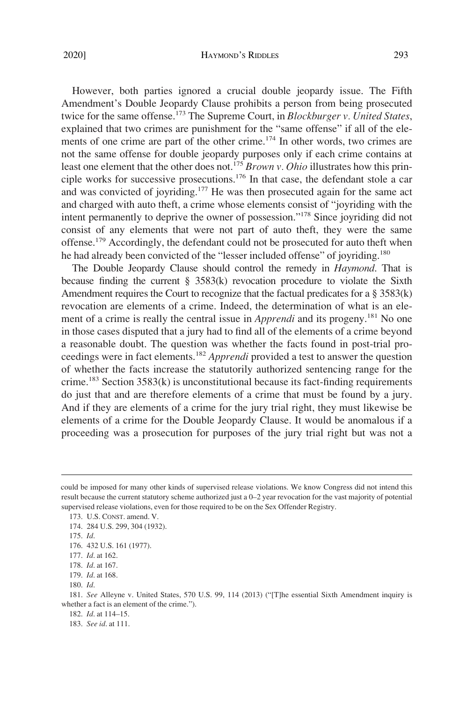However, both parties ignored a crucial double jeopardy issue. The Fifth Amendment's Double Jeopardy Clause prohibits a person from being prosecuted twice for the same offense.173 The Supreme Court, in *Blockburger v. United States*, explained that two crimes are punishment for the "same offense" if all of the elements of one crime are part of the other crime.<sup>174</sup> In other words, two crimes are not the same offense for double jeopardy purposes only if each crime contains at least one element that the other does not.<sup>175</sup> *Brown v. Ohio* illustrates how this principle works for successive prosecutions.<sup>176</sup> In that case, the defendant stole a car and was convicted of joyriding.<sup>177</sup> He was then prosecuted again for the same act and charged with auto theft, a crime whose elements consist of "joyriding with the intent permanently to deprive the owner of possession."178 Since joyriding did not consist of any elements that were not part of auto theft, they were the same offense.<sup>179</sup> Accordingly, the defendant could not be prosecuted for auto theft when he had already been convicted of the "lesser included offense" of joyriding.<sup>180</sup>

The Double Jeopardy Clause should control the remedy in *Haymond*. That is because fnding the current § 3583(k) revocation procedure to violate the Sixth Amendment requires the Court to recognize that the factual predicates for a  $\S 3583(k)$ revocation are elements of a crime. Indeed, the determination of what is an element of a crime is really the central issue in *Apprendi* and its progeny.<sup>181</sup> No one in those cases disputed that a jury had to fnd all of the elements of a crime beyond a reasonable doubt. The question was whether the facts found in post-trial proceedings were in fact elements.<sup>182</sup>*Apprendi* provided a test to answer the question of whether the facts increase the statutorily authorized sentencing range for the crime.<sup>183</sup> Section  $3583(k)$  is unconstitutional because its fact-finding requirements do just that and are therefore elements of a crime that must be found by a jury. And if they are elements of a crime for the jury trial right, they must likewise be elements of a crime for the Double Jeopardy Clause. It would be anomalous if a proceeding was a prosecution for purposes of the jury trial right but was not a

could be imposed for many other kinds of supervised release violations. We know Congress did not intend this result because the current statutory scheme authorized just a 0–2 year revocation for the vast majority of potential supervised release violations, even for those required to be on the Sex Offender Registry.

<sup>173.</sup> U.S. CONST. amend. V.

<sup>174. 284</sup> U.S. 299, 304 (1932).

<sup>175.</sup> *Id*.

<sup>176. 432</sup> U.S. 161 (1977).

<sup>177.</sup> *Id*. at 162.

<sup>178.</sup> *Id*. at 167.

<sup>179.</sup> *Id*. at 168.

<sup>180.</sup> *Id*.

<sup>181.</sup> *See* Alleyne v. United States, 570 U.S. 99, 114 (2013) ("[T]he essential Sixth Amendment inquiry is whether a fact is an element of the crime.").

<sup>182.</sup> *Id*. at 114–15.

<sup>183.</sup> *See id*. at 111.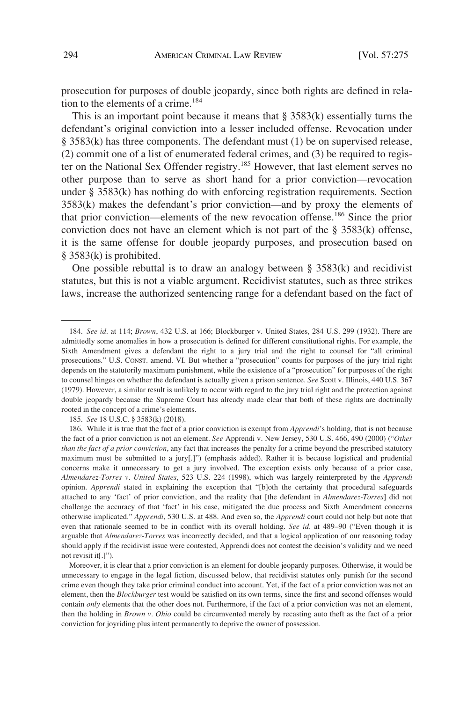prosecution for purposes of double jeopardy, since both rights are defned in relation to the elements of a crime.<sup>184</sup>

This is an important point because it means that  $\S 3583(k)$  essentially turns the defendant's original conviction into a lesser included offense. Revocation under § 3583(k) has three components. The defendant must (1) be on supervised release, (2) commit one of a list of enumerated federal crimes, and (3) be required to register on the National Sex Offender registry.<sup>185</sup> However, that last element serves no other purpose than to serve as short hand for a prior conviction—revocation under § 3583(k) has nothing do with enforcing registration requirements. Section 3583(k) makes the defendant's prior conviction—and by proxy the elements of that prior conviction—elements of the new revocation offense.186 Since the prior conviction does not have an element which is not part of the  $\S$  3583(k) offense, it is the same offense for double jeopardy purposes, and prosecution based on § 3583(k) is prohibited.

One possible rebuttal is to draw an analogy between  $\S$  3583(k) and recidivist statutes, but this is not a viable argument. Recidivist statutes, such as three strikes laws, increase the authorized sentencing range for a defendant based on the fact of

185. *See* 18 U.S.C. § 3583(k) (2018).

<sup>184.</sup> *See id*. at 114; *Brown*, 432 U.S. at 166; Blockburger v. United States, 284 U.S. 299 (1932). There are admittedly some anomalies in how a prosecution is defned for different constitutional rights. For example, the Sixth Amendment gives a defendant the right to a jury trial and the right to counsel for "all criminal prosecutions." U.S. CONST. amend. VI. But whether a "prosecution" counts for purposes of the jury trial right depends on the statutorily maximum punishment, while the existence of a "prosecution" for purposes of the right to counsel hinges on whether the defendant is actually given a prison sentence. *See* Scott v. Illinois, 440 U.S. 367 (1979). However, a similar result is unlikely to occur with regard to the jury trial right and the protection against double jeopardy because the Supreme Court has already made clear that both of these rights are doctrinally rooted in the concept of a crime's elements.

<sup>186.</sup> While it is true that the fact of a prior conviction is exempt from *Apprendi*'s holding, that is not because the fact of a prior conviction is not an element. *See* Apprendi v. New Jersey, 530 U.S. 466, 490 (2000) ("*Other than the fact of a prior conviction*, any fact that increases the penalty for a crime beyond the prescribed statutory maximum must be submitted to a jury[.]") (emphasis added). Rather it is because logistical and prudential concerns make it unnecessary to get a jury involved. The exception exists only because of a prior case, *Almendarez-Torres v. United States*, 523 U.S. 224 (1998), which was largely reinterpreted by the *Apprendi*  opinion. *Apprendi* stated in explaining the exception that "[b]oth the certainty that procedural safeguards attached to any 'fact' of prior conviction, and the reality that [the defendant in *Almendarez-Torres*] did not challenge the accuracy of that 'fact' in his case, mitigated the due process and Sixth Amendment concerns otherwise implicated." *Apprendi*, 530 U.S. at 488. And even so, the *Apprendi* court could not help but note that even that rationale seemed to be in confict with its overall holding. *See id*. at 489–90 ("Even though it is arguable that *Almendarez-Torres* was incorrectly decided, and that a logical application of our reasoning today should apply if the recidivist issue were contested, Apprendi does not contest the decision's validity and we need not revisit it[.]").

Moreover, it is clear that a prior conviction is an element for double jeopardy purposes. Otherwise, it would be unnecessary to engage in the legal fiction, discussed below, that recidivist statutes only punish for the second crime even though they take prior criminal conduct into account. Yet, if the fact of a prior conviction was not an element, then the *Blockburger* test would be satisfed on its own terms, since the frst and second offenses would contain *only* elements that the other does not. Furthermore, if the fact of a prior conviction was not an element, then the holding in *Brown v. Ohio* could be circumvented merely by recasting auto theft as the fact of a prior conviction for joyriding plus intent permanently to deprive the owner of possession.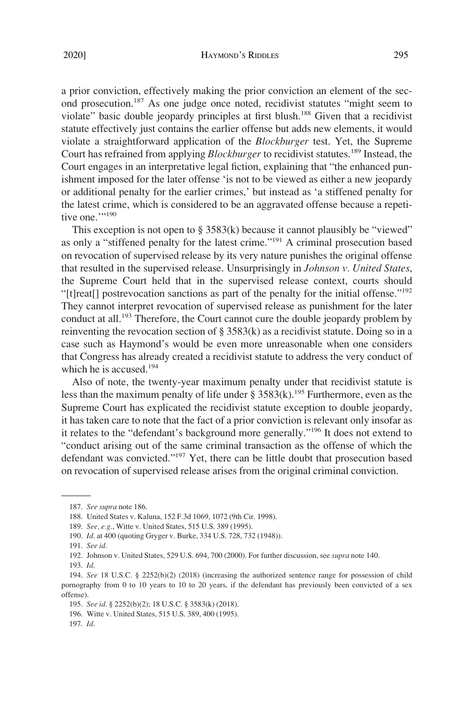a prior conviction, effectively making the prior conviction an element of the second prosecution.187 As one judge once noted, recidivist statutes "might seem to violate" basic double jeopardy principles at first blush.<sup>188</sup> Given that a recidivist statute effectively just contains the earlier offense but adds new elements, it would violate a straightforward application of the *Blockburger* test. Yet, the Supreme Court has refrained from applying *Blockburger* to recidivist statutes.<sup>189</sup> Instead, the Court engages in an interpretative legal fiction, explaining that "the enhanced punishment imposed for the later offense 'is not to be viewed as either a new jeopardy or additional penalty for the earlier crimes,' but instead as 'a stiffened penalty for the latest crime, which is considered to be an aggravated offense because a repetitive one.""190

This exception is not open to  $\S$  3583(k) because it cannot plausibly be "viewed" as only a "stiffened penalty for the latest crime."191 A criminal prosecution based on revocation of supervised release by its very nature punishes the original offense that resulted in the supervised release. Unsurprisingly in *Johnson v. United States*, the Supreme Court held that in the supervised release context, courts should "[t]reat[] postrevocation sanctions as part of the penalty for the initial offense."192 They cannot interpret revocation of supervised release as punishment for the later conduct at all.<sup>193</sup> Therefore, the Court cannot cure the double jeopardy problem by reinventing the revocation section of  $\S 3583(k)$  as a recidivist statute. Doing so in a case such as Haymond's would be even more unreasonable when one considers that Congress has already created a recidivist statute to address the very conduct of which he is accused.<sup>194</sup>

Also of note, the twenty-year maximum penalty under that recidivist statute is less than the maximum penalty of life under § 3583(k).<sup>195</sup> Furthermore, even as the Supreme Court has explicated the recidivist statute exception to double jeopardy, it has taken care to note that the fact of a prior conviction is relevant only insofar as it relates to the "defendant's background more generally."196 It does not extend to "conduct arising out of the same criminal transaction as the offense of which the defendant was convicted."197 Yet, there can be little doubt that prosecution based on revocation of supervised release arises from the original criminal conviction.

<sup>187.</sup> *See supra* note 186.

<sup>188.</sup> United States v. Kaluna, 152 F.3d 1069, 1072 (9th Cir. 1998).

<sup>189.</sup> *See, e.g*., Witte v. United States, 515 U.S. 389 (1995).

<sup>190.</sup> *Id*. at 400 (quoting Gryger v. Burke, 334 U.S. 728, 732 (1948)).

<sup>191.</sup> *See id*.

<sup>192.</sup> Johnson v. United States, 529 U.S. 694, 700 (2000). For further discussion, see *supra* note 140.

<sup>193.</sup> *Id*.

<sup>194.</sup> *See* 18 U.S.C. § 2252(b)(2) (2018) (increasing the authorized sentence range for possession of child pornography from 0 to 10 years to 10 to 20 years, if the defendant has previously been convicted of a sex offense).

<sup>195.</sup> *See id*. § 2252(b)(2); 18 U.S.C. § 3583(k) (2018).

<sup>196.</sup> Witte v. United States, 515 U.S. 389, 400 (1995).

<sup>197.</sup> *Id*.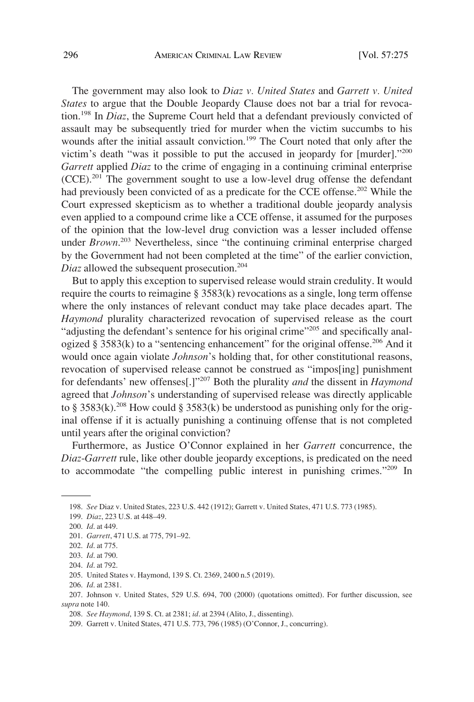The government may also look to *Diaz v. United States* and *Garrett v. United States* to argue that the Double Jeopardy Clause does not bar a trial for revocation.198 In *Diaz*, the Supreme Court held that a defendant previously convicted of assault may be subsequently tried for murder when the victim succumbs to his wounds after the initial assault conviction.<sup>199</sup> The Court noted that only after the victim's death "was it possible to put the accused in jeopardy for [murder]."200 *Garrett* applied *Diaz* to the crime of engaging in a continuing criminal enterprise  $(CCE)$ <sup>201</sup>. The government sought to use a low-level drug offense the defendant had previously been convicted of as a predicate for the CCE offense.<sup>202</sup> While the Court expressed skepticism as to whether a traditional double jeopardy analysis even applied to a compound crime like a CCE offense, it assumed for the purposes of the opinion that the low-level drug conviction was a lesser included offense under *Brown*. 203 Nevertheless, since "the continuing criminal enterprise charged by the Government had not been completed at the time" of the earlier conviction, *Diaz* allowed the subsequent prosecution.<sup>204</sup>

But to apply this exception to supervised release would strain credulity. It would require the courts to reimagine § 3583(k) revocations as a single, long term offense where the only instances of relevant conduct may take place decades apart. The *Haymond* plurality characterized revocation of supervised release as the court "adjusting the defendant's sentence for his original crime"<sup>205</sup> and specifically analogized § 3583(k) to a "sentencing enhancement" for the original offense.<sup>206</sup> And it would once again violate *Johnson*'s holding that, for other constitutional reasons, revocation of supervised release cannot be construed as "impos[ing] punishment for defendants' new offenses[.]"207 Both the plurality *and* the dissent in *Haymond*  agreed that *Johnson*'s understanding of supervised release was directly applicable to § 3583(k).<sup>208</sup> How could § 3583(k) be understood as punishing only for the original offense if it is actually punishing a continuing offense that is not completed until years after the original conviction?

Furthermore, as Justice O'Connor explained in her *Garrett* concurrence, the *Diaz*-*Garrett* rule, like other double jeopardy exceptions, is predicated on the need to accommodate "the compelling public interest in punishing crimes."209 In

204. *Id*. at 792.

<sup>198.</sup> *See* Diaz v. United States, 223 U.S. 442 (1912); Garrett v. United States, 471 U.S. 773 (1985).

<sup>199.</sup> *Diaz*, 223 U.S. at 448–49.

<sup>200.</sup> *Id*. at 449.

<sup>201.</sup> *Garrett*, 471 U.S. at 775, 791–92.

<sup>202.</sup> *Id*. at 775.

<sup>203.</sup> *Id*. at 790.

<sup>205.</sup> United States v. Haymond, 139 S. Ct. 2369, 2400 n.5 (2019).

<sup>206.</sup> *Id*. at 2381.

<sup>207.</sup> Johnson v. United States, 529 U.S. 694, 700 (2000) (quotations omitted). For further discussion, see *supra* note 140.

<sup>208.</sup> *See Haymond*, 139 S. Ct. at 2381; *id*. at 2394 (Alito, J., dissenting).

<sup>209.</sup> Garrett v. United States, 471 U.S. 773, 796 (1985) (O'Connor, J., concurring).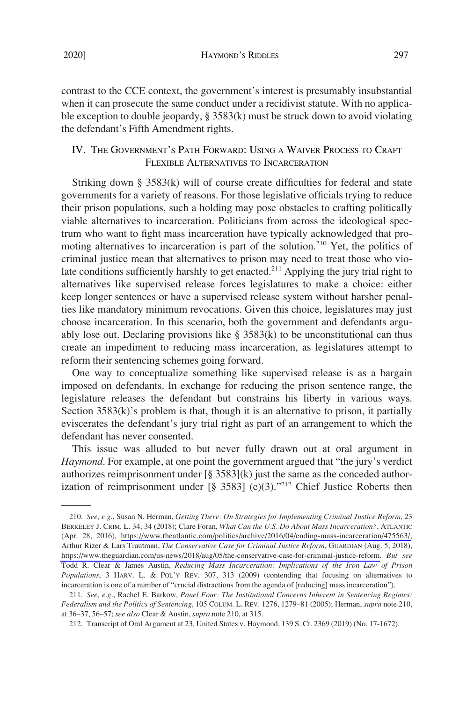contrast to the CCE context, the government's interest is presumably insubstantial when it can prosecute the same conduct under a recidivist statute. With no applicable exception to double jeopardy, § 3583(k) must be struck down to avoid violating the defendant's Fifth Amendment rights.

# IV. THE GOVERNMENT'S PATH FORWARD: USING A WAIVER PROCESS TO CRAFT FLEXIBLE ALTERNATIVES TO INCARCERATION

Striking down § 3583(k) will of course create diffculties for federal and state governments for a variety of reasons. For those legislative offcials trying to reduce their prison populations, such a holding may pose obstacles to crafting politically viable alternatives to incarceration. Politicians from across the ideological spectrum who want to fght mass incarceration have typically acknowledged that promoting alternatives to incarceration is part of the solution.<sup>210</sup> Yet, the politics of criminal justice mean that alternatives to prison may need to treat those who violate conditions sufficiently harshly to get enacted.<sup>211</sup> Applying the jury trial right to alternatives like supervised release forces legislatures to make a choice: either keep longer sentences or have a supervised release system without harsher penalties like mandatory minimum revocations. Given this choice, legislatures may just choose incarceration. In this scenario, both the government and defendants arguably lose out. Declaring provisions like  $\S 3583(k)$  to be unconstitutional can thus create an impediment to reducing mass incarceration, as legislatures attempt to reform their sentencing schemes going forward.

One way to conceptualize something like supervised release is as a bargain imposed on defendants. In exchange for reducing the prison sentence range, the legislature releases the defendant but constrains his liberty in various ways. Section  $3583(k)$ 's problem is that, though it is an alternative to prison, it partially eviscerates the defendant's jury trial right as part of an arrangement to which the defendant has never consented.

This issue was alluded to but never fully drawn out at oral argument in *Haymond*. For example, at one point the government argued that "the jury's verdict authorizes reimprisonment under  $\lceil \frac{8}{9} \cdot 3583 \rceil$ (k) just the same as the conceded authorization of reimprisonment under  $[\S$  3583] (e)(3)."<sup>212</sup> Chief Justice Roberts then

*See, e.g*., Susan N. Herman, *Getting There: On Strategies for Implementing Criminal Justice Reform*, 23 210. BERKELEY J. CRIM. L. 34, 34 (2018); Clare Foran, *What Can the U.S. Do About Mass Incarceration?*, ATLANTIC (Apr. 28, 2016), [https://www.theatlantic.com/politics/archive/2016/04/ending-mass-incarceration/475563/;](https://www.theatlantic.com/politics/archive/2016/04/ending-mass-incarceration/475563/) Arthur Rizer & Lars Trautman, *The Conservative Case for Criminal Justice Reform*, GUARDIAN (Aug. 5, 2018), [https://www.theguardian.com/us-news/2018/aug/05/the-conservative-case-for-criminal-justice-reform.](https://www.theguardian.com/us-news/2018/aug/05/the-conservative-case-for-criminal-justice-reform) *But see*  Todd R. Clear & James Austin, *Reducing Mass Incarceration: Implications of the Iron Law of Prison Populations*, 3 HARV. L. & POL'Y REV. 307, 313 (2009) (contending that focusing on alternatives to incarceration is one of a number of "crucial distractions from the agenda of [reducing] mass incarceration").

<sup>211.</sup> *See, e.g*., Rachel E. Barkow, *Panel Four: The Institutional Concerns Inherent in Sentencing Regimes: Federalism and the Politics of Sentencing*, 105 COLUM. L. REV. 1276, 1279–81 (2005); Herman, *supra* note 210, at 36–37, 56–57; *see also* Clear & Austin, *supra* note 210, at 315.

<sup>212.</sup> Transcript of Oral Argument at 23, United States v. Haymond, 139 S. Ct. 2369 (2019) (No. 17-1672).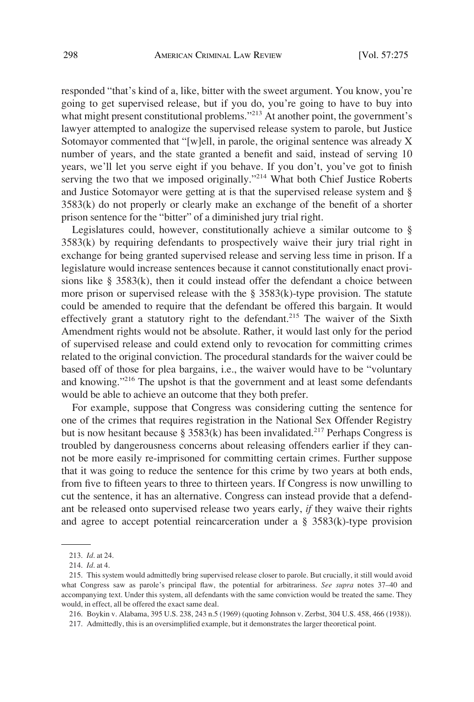responded "that's kind of a, like, bitter with the sweet argument. You know, you're going to get supervised release, but if you do, you're going to have to buy into what might present constitutional problems."<sup>213</sup> At another point, the government's lawyer attempted to analogize the supervised release system to parole, but Justice Sotomayor commented that "[w]ell, in parole, the original sentence was already X number of years, and the state granted a beneft and said, instead of serving 10 years, we'll let you serve eight if you behave. If you don't, you've got to fnish serving the two that we imposed originally."<sup>214</sup> What both Chief Justice Roberts and Justice Sotomayor were getting at is that the supervised release system and § 3583(k) do not properly or clearly make an exchange of the beneft of a shorter prison sentence for the "bitter" of a diminished jury trial right.

Legislatures could, however, constitutionally achieve a similar outcome to § 3583(k) by requiring defendants to prospectively waive their jury trial right in exchange for being granted supervised release and serving less time in prison. If a legislature would increase sentences because it cannot constitutionally enact provisions like  $\S$  3583(k), then it could instead offer the defendant a choice between more prison or supervised release with the  $\S$  3583(k)-type provision. The statute could be amended to require that the defendant be offered this bargain. It would effectively grant a statutory right to the defendant.<sup>215</sup> The waiver of the Sixth Amendment rights would not be absolute. Rather, it would last only for the period of supervised release and could extend only to revocation for committing crimes related to the original conviction. The procedural standards for the waiver could be based off of those for plea bargains, i.e., the waiver would have to be "voluntary and knowing."<sup>216</sup> The upshot is that the government and at least some defendants would be able to achieve an outcome that they both prefer.

For example, suppose that Congress was considering cutting the sentence for one of the crimes that requires registration in the National Sex Offender Registry but is now hesitant because § 3583(k) has been invalidated.<sup>217</sup> Perhaps Congress is troubled by dangerousness concerns about releasing offenders earlier if they cannot be more easily re-imprisoned for committing certain crimes. Further suppose that it was going to reduce the sentence for this crime by two years at both ends, from fve to ffteen years to three to thirteen years. If Congress is now unwilling to cut the sentence, it has an alternative. Congress can instead provide that a defendant be released onto supervised release two years early, *if* they waive their rights and agree to accept potential reincarceration under a  $\S$  3583(k)-type provision

<sup>213.</sup> *Id*. at 24.

<sup>214.</sup> *Id*. at 4.

<sup>215.</sup> This system would admittedly bring supervised release closer to parole. But crucially, it still would avoid what Congress saw as parole's principal faw, the potential for arbitrariness. *See supra* notes 37–40 and accompanying text. Under this system, all defendants with the same conviction would be treated the same. They would, in effect, all be offered the exact same deal.

<sup>216.</sup> Boykin v. Alabama, 395 U.S. 238, 243 n.5 (1969) (quoting Johnson v. Zerbst, 304 U.S. 458, 466 (1938)).

<sup>217.</sup> Admittedly, this is an oversimplifed example, but it demonstrates the larger theoretical point.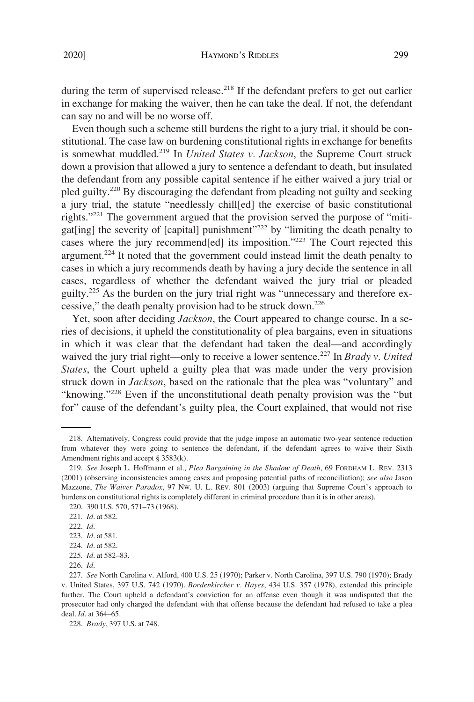during the term of supervised release.<sup>218</sup> If the defendant prefers to get out earlier in exchange for making the waiver, then he can take the deal. If not, the defendant can say no and will be no worse off.

Even though such a scheme still burdens the right to a jury trial, it should be constitutional. The case law on burdening constitutional rights in exchange for benefts is somewhat muddled.219 In *United States v. Jackson*, the Supreme Court struck down a provision that allowed a jury to sentence a defendant to death, but insulated the defendant from any possible capital sentence if he either waived a jury trial or pled guilty.<sup>220</sup> By discouraging the defendant from pleading not guilty and seeking a jury trial, the statute "needlessly chill[ed] the exercise of basic constitutional rights."<sup>221</sup> The government argued that the provision served the purpose of "mitigat[ing] the severity of [capital] punishment"222 by "limiting the death penalty to cases where the jury recommend[ed] its imposition."223 The Court rejected this argument.224 It noted that the government could instead limit the death penalty to cases in which a jury recommends death by having a jury decide the sentence in all cases, regardless of whether the defendant waived the jury trial or pleaded guilty.225 As the burden on the jury trial right was "unnecessary and therefore excessive," the death penalty provision had to be struck down.<sup>226</sup>

Yet, soon after deciding *Jackson*, the Court appeared to change course. In a series of decisions, it upheld the constitutionality of plea bargains, even in situations in which it was clear that the defendant had taken the deal—and accordingly waived the jury trial right—only to receive a lower sentence.<sup>227</sup> In *Brady v. United States*, the Court upheld a guilty plea that was made under the very provision struck down in *Jackson*, based on the rationale that the plea was "voluntary" and "knowing."228 Even if the unconstitutional death penalty provision was the "but for" cause of the defendant's guilty plea, the Court explained, that would not rise

<sup>218.</sup> Alternatively, Congress could provide that the judge impose an automatic two-year sentence reduction from whatever they were going to sentence the defendant, if the defendant agrees to waive their Sixth Amendment rights and accept § 3583(k).

<sup>219.</sup> *See* Joseph L. Hoffmann et al., *Plea Bargaining in the Shadow of Death*, 69 FORDHAM L. REV. 2313 (2001) (observing inconsistencies among cases and proposing potential paths of reconciliation); *see also* Jason Mazzone, *The Waiver Paradox*, 97 NW. U. L. REV. 801 (2003) (arguing that Supreme Court's approach to burdens on constitutional rights is completely different in criminal procedure than it is in other areas).

<sup>220. 390</sup> U.S. 570, 571–73 (1968).

<sup>221.</sup> *Id*. at 582.

<sup>222.</sup> *Id*.

<sup>223.</sup> *Id*. at 581.

<sup>224.</sup> *Id*. at 582.

<sup>225.</sup> *Id*. at 582–83.

<sup>226.</sup> *Id*.

<sup>227.</sup> *See* North Carolina v. Alford, 400 U.S. 25 (1970); Parker v. North Carolina, 397 U.S. 790 (1970); Brady v. United States, 397 U.S. 742 (1970). *Bordenkircher v. Hayes*, 434 U.S. 357 (1978), extended this principle further. The Court upheld a defendant's conviction for an offense even though it was undisputed that the prosecutor had only charged the defendant with that offense because the defendant had refused to take a plea deal. *Id*. at 364–65.

<sup>228.</sup> *Brady*, 397 U.S. at 748.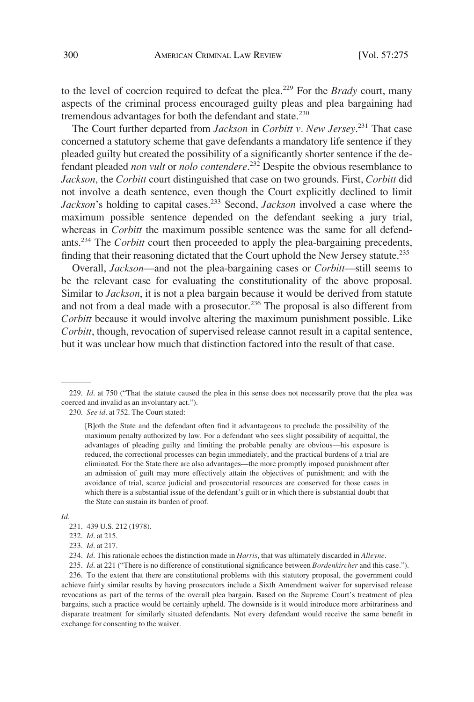to the level of coercion required to defeat the plea.229 For the *Brady* court, many aspects of the criminal process encouraged guilty pleas and plea bargaining had tremendous advantages for both the defendant and state.<sup>230</sup>

The Court further departed from *Jackson* in *Corbitt v. New Jersey*. 231 That case concerned a statutory scheme that gave defendants a mandatory life sentence if they pleaded guilty but created the possibility of a signifcantly shorter sentence if the defendant pleaded *non vult* or *nolo contendere*. 232 Despite the obvious resemblance to *Jackson*, the *Corbitt* court distinguished that case on two grounds. First, *Corbitt* did not involve a death sentence, even though the Court explicitly declined to limit *Jackson*'s holding to capital cases.<sup>233</sup> Second, *Jackson* involved a case where the maximum possible sentence depended on the defendant seeking a jury trial, whereas in *Corbitt* the maximum possible sentence was the same for all defendants.234 The *Corbitt* court then proceeded to apply the plea-bargaining precedents, finding that their reasoning dictated that the Court uphold the New Jersey statute.<sup>235</sup>

Overall, *Jackson*—and not the plea-bargaining cases or *Corbitt*—still seems to be the relevant case for evaluating the constitutionality of the above proposal. Similar to *Jackson*, it is not a plea bargain because it would be derived from statute and not from a deal made with a prosecutor.<sup>236</sup> The proposal is also different from *Corbitt* because it would involve altering the maximum punishment possible. Like *Corbitt*, though, revocation of supervised release cannot result in a capital sentence, but it was unclear how much that distinction factored into the result of that case.

*Id*.

231. 439 U.S. 212 (1978).

232. *Id*. at 215.

233. *Id*. at 217.

235. *Id*. at 221 ("There is no difference of constitutional signifcance between *Bordenkircher* and this case."). 236. To the extent that there are constitutional problems with this statutory proposal, the government could achieve fairly similar results by having prosecutors include a Sixth Amendment waiver for supervised release revocations as part of the terms of the overall plea bargain. Based on the Supreme Court's treatment of plea bargains, such a practice would be certainly upheld. The downside is it would introduce more arbitrariness and disparate treatment for similarly situated defendants. Not every defendant would receive the same beneft in exchange for consenting to the waiver.

<sup>229.</sup> *Id*. at 750 ("That the statute caused the plea in this sense does not necessarily prove that the plea was coerced and invalid as an involuntary act.").

<sup>230.</sup> *See id*. at 752. The Court stated:

<sup>[</sup>B]oth the State and the defendant often fnd it advantageous to preclude the possibility of the maximum penalty authorized by law. For a defendant who sees slight possibility of acquittal, the advantages of pleading guilty and limiting the probable penalty are obvious—his exposure is reduced, the correctional processes can begin immediately, and the practical burdens of a trial are eliminated. For the State there are also advantages—the more promptly imposed punishment after an admission of guilt may more effectively attain the objectives of punishment; and with the avoidance of trial, scarce judicial and prosecutorial resources are conserved for those cases in which there is a substantial issue of the defendant's guilt or in which there is substantial doubt that the State can sustain its burden of proof.

<sup>234.</sup> *Id*. This rationale echoes the distinction made in *Harris*, that was ultimately discarded in *Alleyne*.